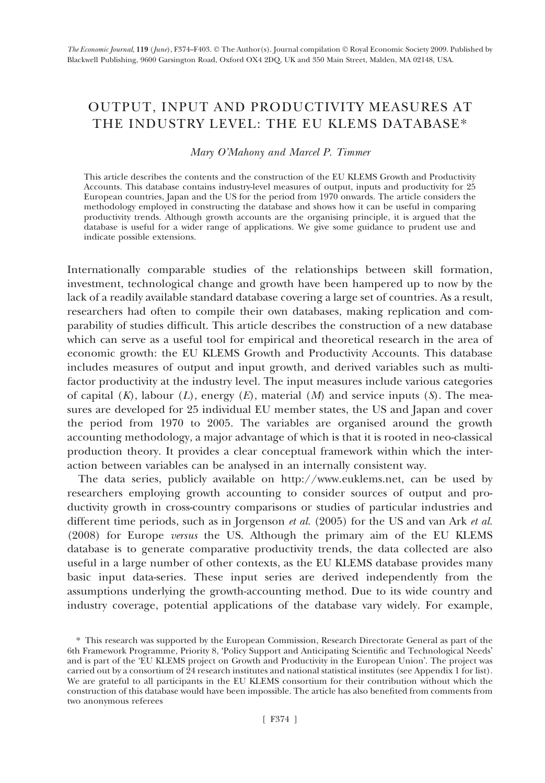# OUTPUT, INPUT AND PRODUCTIVITY MEASURES AT THE INDUSTRY LEVEL: THE EU KLEMS DATABASE\*

# Mary O'Mahony and Marcel P. Timmer

This article describes the contents and the construction of the EU KLEMS Growth and Productivity Accounts. This database contains industry-level measures of output, inputs and productivity for 25 European countries, Japan and the US for the period from 1970 onwards. The article considers the methodology employed in constructing the database and shows how it can be useful in comparing productivity trends. Although growth accounts are the organising principle, it is argued that the database is useful for a wider range of applications. We give some guidance to prudent use and indicate possible extensions.

Internationally comparable studies of the relationships between skill formation, investment, technological change and growth have been hampered up to now by the lack of a readily available standard database covering a large set of countries. As a result, researchers had often to compile their own databases, making replication and comparability of studies difficult. This article describes the construction of a new database which can serve as a useful tool for empirical and theoretical research in the area of economic growth: the EU KLEMS Growth and Productivity Accounts. This database includes measures of output and input growth, and derived variables such as multifactor productivity at the industry level. The input measures include various categories of capital  $(K)$ , labour  $(L)$ , energy  $(E)$ , material  $(M)$  and service inputs  $(S)$ . The measures are developed for 25 individual EU member states, the US and Japan and cover the period from 1970 to 2005. The variables are organised around the growth accounting methodology, a major advantage of which is that it is rooted in neo-classical production theory. It provides a clear conceptual framework within which the interaction between variables can be analysed in an internally consistent way.

The data series, publicly available on http://www.euklems.net, can be used by researchers employing growth accounting to consider sources of output and productivity growth in cross-country comparisons or studies of particular industries and different time periods, such as in Jorgenson *et al.* (2005) for the US and van Ark *et al.* (2008) for Europe versus the US. Although the primary aim of the EU KLEMS database is to generate comparative productivity trends, the data collected are also useful in a large number of other contexts, as the EU KLEMS database provides many basic input data-series. These input series are derived independently from the assumptions underlying the growth-accounting method. Due to its wide country and industry coverage, potential applications of the database vary widely. For example,

<sup>\*</sup> This research was supported by the European Commission, Research Directorate General as part of the 6th Framework Programme, Priority 8, 'Policy Support and Anticipating Scientific and Technological Needs' and is part of the 'EU KLEMS project on Growth and Productivity in the European Union'. The project was carried out by a consortium of 24 research institutes and national statistical institutes (see Appendix 1 for list). We are grateful to all participants in the EU KLEMS consortium for their contribution without which the construction of this database would have been impossible. The article has also benefited from comments from two anonymous referees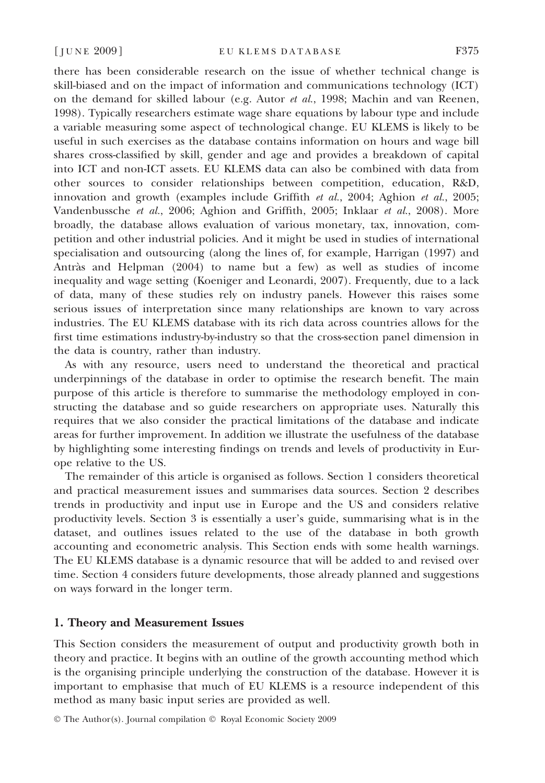there has been considerable research on the issue of whether technical change is skill-biased and on the impact of information and communications technology (ICT) on the demand for skilled labour (e.g. Autor et al., 1998; Machin and van Reenen, 1998). Typically researchers estimate wage share equations by labour type and include a variable measuring some aspect of technological change. EU KLEMS is likely to be useful in such exercises as the database contains information on hours and wage bill shares cross-classified by skill, gender and age and provides a breakdown of capital into ICT and non-ICT assets. EU KLEMS data can also be combined with data from other sources to consider relationships between competition, education, R&D, innovation and growth (examples include Griffith et al., 2004; Aghion et al., 2005; Vandenbussche et al., 2006; Aghion and Griffith, 2005; Inklaar et al., 2008). More broadly, the database allows evaluation of various monetary, tax, innovation, competition and other industrial policies. And it might be used in studies of international specialisation and outsourcing (along the lines of, for example, Harrigan (1997) and Antràs and Helpman (2004) to name but a few) as well as studies of income inequality and wage setting (Koeniger and Leonardi, 2007). Frequently, due to a lack of data, many of these studies rely on industry panels. However this raises some serious issues of interpretation since many relationships are known to vary across industries. The EU KLEMS database with its rich data across countries allows for the first time estimations industry-by-industry so that the cross-section panel dimension in the data is country, rather than industry.

As with any resource, users need to understand the theoretical and practical underpinnings of the database in order to optimise the research benefit. The main purpose of this article is therefore to summarise the methodology employed in constructing the database and so guide researchers on appropriate uses. Naturally this requires that we also consider the practical limitations of the database and indicate areas for further improvement. In addition we illustrate the usefulness of the database by highlighting some interesting findings on trends and levels of productivity in Europe relative to the US.

The remainder of this article is organised as follows. Section 1 considers theoretical and practical measurement issues and summarises data sources. Section 2 describes trends in productivity and input use in Europe and the US and considers relative productivity levels. Section 3 is essentially a user's guide, summarising what is in the dataset, and outlines issues related to the use of the database in both growth accounting and econometric analysis. This Section ends with some health warnings. The EU KLEMS database is a dynamic resource that will be added to and revised over time. Section 4 considers future developments, those already planned and suggestions on ways forward in the longer term.

# 1. Theory and Measurement Issues

This Section considers the measurement of output and productivity growth both in theory and practice. It begins with an outline of the growth accounting method which is the organising principle underlying the construction of the database. However it is important to emphasise that much of EU KLEMS is a resource independent of this method as many basic input series are provided as well.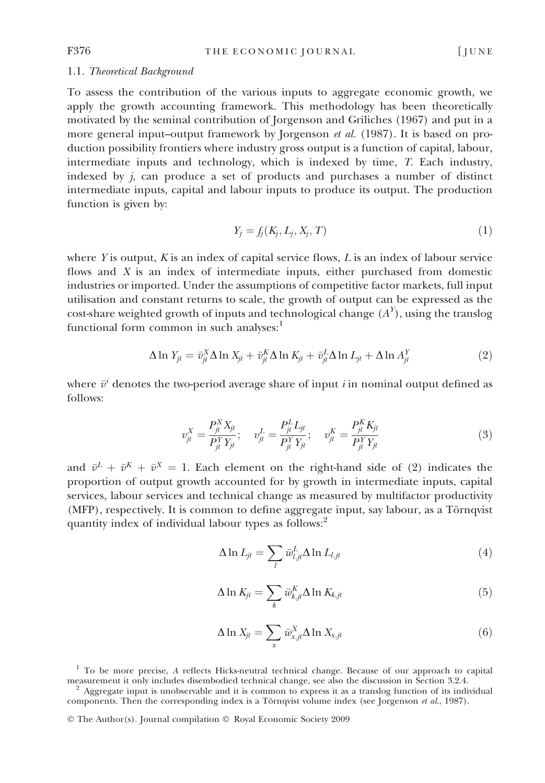# 1.1. Theoretical Background

To assess the contribution of the various inputs to aggregate economic growth, we apply the growth accounting framework. This methodology has been theoretically motivated by the seminal contribution of Jorgenson and Griliches (1967) and put in a more general input–output framework by Jorgenson *et al.* (1987). It is based on production possibility frontiers where industry gross output is a function of capital, labour, intermediate inputs and technology, which is indexed by time, T. Each industry, indexed by  $i$ , can produce a set of products and purchases a number of distinct intermediate inputs, capital and labour inputs to produce its output. The production function is given by:

$$
Y_j = f_j(K_j, L_j, X_j, T) \tag{1}
$$

where  $Y$  is output,  $K$  is an index of capital service flows,  $L$  is an index of labour service flows and X is an index of intermediate inputs, either purchased from domestic industries or imported. Under the assumptions of competitive factor markets, full input utilisation and constant returns to scale, the growth of output can be expressed as the cost-share weighted growth of inputs and technological change  $(A^Y)$ , using the translog functional form common in such analyses:<sup>1</sup>

$$
\Delta \ln Y_{jt} = \bar{v}_{jt}^X \Delta \ln X_{jt} + \bar{v}_{jt}^K \Delta \ln K_{jt} + \bar{v}_{jt}^L \Delta \ln L_{jt} + \Delta \ln A_{jt}^Y \tag{2}
$$

where  $\bar{v}^i$  denotes the two-period average share of input i in nominal output defined as follows:

$$
v_{jt}^X = \frac{P_{jt}^X X_{jt}}{P_{jt}^Y Y_{jt}}; \quad v_{jt}^L = \frac{P_{jt}^L L_{jt}}{P_{jt}^Y Y_{jt}}; \quad v_{jt}^K = \frac{P_{jt}^K K_{jt}}{P_{jt}^Y Y_{jt}} \tag{3}
$$

and  $\bar{v}^L + \bar{v}^K + \bar{v}^X = 1$ . Each element on the right-hand side of (2) indicates the proportion of output growth accounted for by growth in intermediate inputs, capital services, labour services and technical change as measured by multifactor productivity (MFP), respectively. It is common to define aggregate input, say labour, as a Törnqvist quantity index of individual labour types as follows:<sup>2</sup>

$$
\Delta \ln L_{jt} = \sum_{l} \bar{w}_{l,jl}^{L} \Delta \ln L_{l,jt}
$$
\n(4)

$$
\Delta \ln K_{jt} = \sum_{k} \bar{w}_{k,j}^{K} \Delta \ln K_{k,jt} \tag{5}
$$

$$
\Delta \ln X_{jt} = \sum_{x} \bar{w}_{x,j}^{X} \Delta \ln X_{x,jt} \tag{6}
$$

 $1$  To be more precise, A reflects Hicks-neutral technical change. Because of our approach to capital measurement it only includes disembodied technical change, see also the discussion in Section 3.2.4.

<sup>&</sup>lt;sup>2</sup> Aggregate input is unobservable and it is common to express it as a translog function of its individual components. Then the corresponding index is a Törnqvist volume index (see Jorgenson et al., 1987).

<sup>©</sup> The Author(s). Journal compilation © Royal Economic Society 2009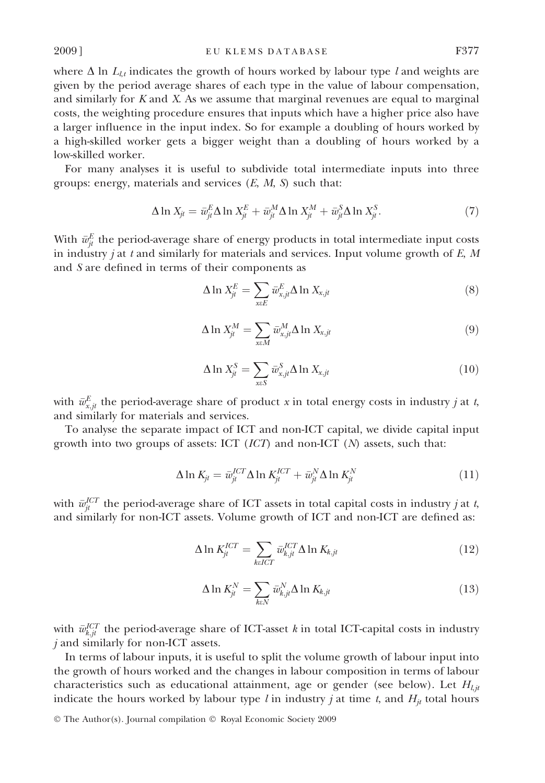2009 ] EU KLEMS DATABASE F377

where  $\Delta$  ln  $L_{l,t}$  indicates the growth of hours worked by labour type l and weights are given by the period average shares of each type in the value of labour compensation, and similarly for  $K$  and  $X$ . As we assume that marginal revenues are equal to marginal costs, the weighting procedure ensures that inputs which have a higher price also have a larger influence in the input index. So for example a doubling of hours worked by a high-skilled worker gets a bigger weight than a doubling of hours worked by a low-skilled worker.

For many analyses it is useful to subdivide total intermediate inputs into three groups: energy, materials and services (E, M, S) such that:

$$
\Delta \ln X_{jt} = \bar{w}_{jt}^{E} \Delta \ln X_{jt}^{E} + \bar{w}_{jt}^{M} \Delta \ln X_{jt}^{M} + \bar{w}_{jt}^{S} \Delta \ln X_{jt}^{S}.
$$
\n
$$
\tag{7}
$$

With  $\bar{w}^E_{jt}$  the period-average share of energy products in total intermediate input costs in industry *j* at *t* and similarly for materials and services. Input volume growth of  $E$ ,  $M$ and S are defined in terms of their components as

$$
\Delta \ln X_{jt}^{E} = \sum_{x \in E} \bar{w}_{x,j}^{E} \Delta \ln X_{x,jt}
$$
\n(8)

$$
\Delta \ln X_{jt}^M = \sum_{x \in M} \bar{w}_{x,j}^M \Delta \ln X_{x,jt} \tag{9}
$$

$$
\Delta \ln X_{jt}^S = \sum_{x \in S} \bar{w}_{x,j}^S \Delta \ln X_{x,jt}
$$
 (10)

with  $\bar{w}^E_{x, j t}$  the period-average share of product x in total energy costs in industry  $j$  at  $t,$ and similarly for materials and services.

To analyse the separate impact of ICT and non-ICT capital, we divide capital input growth into two groups of assets: ICT  $(ICT)$  and non-ICT  $(N)$  assets, such that:

$$
\Delta \ln K_{jt} = \bar{w}_{jt}^{ICT} \Delta \ln K_{jt}^{ICT} + \bar{w}_{jt}^{N} \Delta \ln K_{jt}^{N}
$$
\n(11)

with  $\bar{w}_{jt}^{ICT}$  the period-average share of ICT assets in total capital costs in industry j at t, and similarly for non-ICT assets. Volume growth of ICT and non-ICT are defined as:

$$
\Delta \ln K_{jt}^{ICT} = \sum_{kslCT} \bar{w}_{k,jt}^{ICT} \Delta \ln K_{k,jt}
$$
 (12)

$$
\Delta \ln K_{jt}^N = \sum_{k \in N} \bar{w}_{k,j}^N \Delta \ln K_{k,jt} \tag{13}
$$

with  $\bar{w}^{ICT}_{k,jt}$  the period-average share of ICT-asset k in total ICT-capital costs in industry j and similarly for non-ICT assets.

In terms of labour inputs, it is useful to split the volume growth of labour input into the growth of hours worked and the changes in labour composition in terms of labour characteristics such as educational attainment, age or gender (see below). Let  $H_{l,i}$ indicate the hours worked by labour type l in industry j at time t, and  $H_{jt}$  total hours

 $\circ$  The Author(s). Journal compilation  $\circ$  Royal Economic Society 2009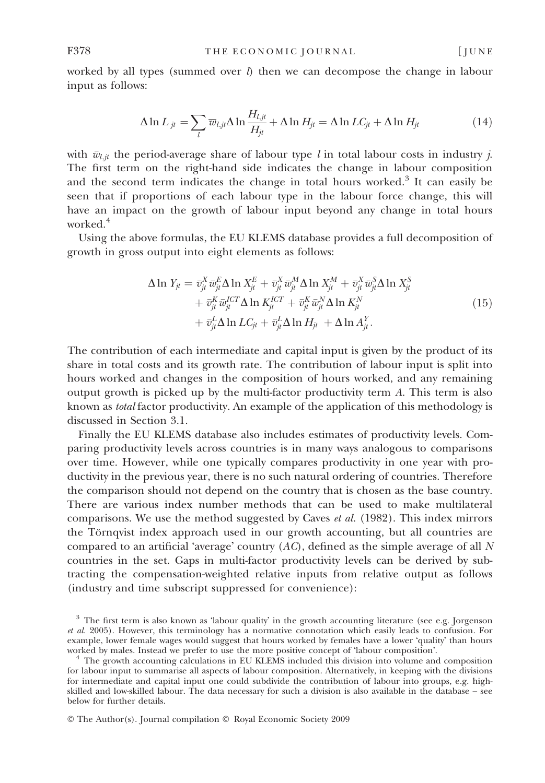worked by all types (summed over  $l$ ) then we can decompose the change in labour input as follows:

$$
\Delta \ln L_{jt} = \sum_{l} \overline{w}_{l,ji} \Delta \ln \frac{H_{l,jl}}{H_{jl}} + \Delta \ln H_{jt} = \Delta \ln L C_{jt} + \Delta \ln H_{jt}
$$
(14)

with  $\bar{w}_{l,i}$  the period-average share of labour type l in total labour costs in industry j. The first term on the right-hand side indicates the change in labour composition and the second term indicates the change in total hours worked.<sup>3</sup> It can easily be seen that if proportions of each labour type in the labour force change, this will have an impact on the growth of labour input beyond any change in total hours worked.<sup>4</sup>

Using the above formulas, the EU KLEMS database provides a full decomposition of growth in gross output into eight elements as follows:

$$
\Delta \ln Y_{jl} = \bar{v}_{jl}^X \bar{w}_{jl}^E \Delta \ln X_{jl}^E + \bar{v}_{jl}^X \bar{w}_{jl}^M \Delta \ln X_{jl}^M + \bar{v}_{jl}^X \bar{w}_{jl}^S \Delta \ln X_{jl}^S
$$
  
+  $\bar{v}_{jl}^K \bar{w}_{jl}^{ICT} \Delta \ln K_{jl}^{ICT} + \bar{v}_{jl}^K \bar{w}_{jl}^N \Delta \ln K_{jl}^N$   
+  $\bar{v}_{jl}^L \Delta \ln LC_{jl} + \bar{v}_{jl}^L \Delta \ln H_{jl} + \Delta \ln A_{jl}^Y.$  (15)

The contribution of each intermediate and capital input is given by the product of its share in total costs and its growth rate. The contribution of labour input is split into hours worked and changes in the composition of hours worked, and any remaining output growth is picked up by the multi-factor productivity term A. This term is also known as total factor productivity. An example of the application of this methodology is discussed in Section 3.1.

Finally the EU KLEMS database also includes estimates of productivity levels. Comparing productivity levels across countries is in many ways analogous to comparisons over time. However, while one typically compares productivity in one year with productivity in the previous year, there is no such natural ordering of countries. Therefore the comparison should not depend on the country that is chosen as the base country. There are various index number methods that can be used to make multilateral comparisons. We use the method suggested by Caves et al. (1982). This index mirrors the Törnqvist index approach used in our growth accounting, but all countries are compared to an artificial 'average' country  $(AC)$ , defined as the simple average of all N countries in the set. Gaps in multi-factor productivity levels can be derived by subtracting the compensation-weighted relative inputs from relative output as follows (industry and time subscript suppressed for convenience):

 $3$  The first term is also known as 'labour quality' in the growth accounting literature (see e.g. Jorgenson et al. 2005). However, this terminology has a normative connotation which easily leads to confusion. For example, lower female wages would suggest that hours worked by females have a lower 'quality' than hours worked by males. Instead we prefer to use the more positive concept of 'labour composition'.

 $^4$  The growth accounting calculations in EU KLEMS included this division into volume and composition for labour input to summarise all aspects of labour composition. Alternatively, in keeping with the divisions for intermediate and capital input one could subdivide the contribution of labour into groups, e.g. highskilled and low-skilled labour. The data necessary for such a division is also available in the database – see below for further details.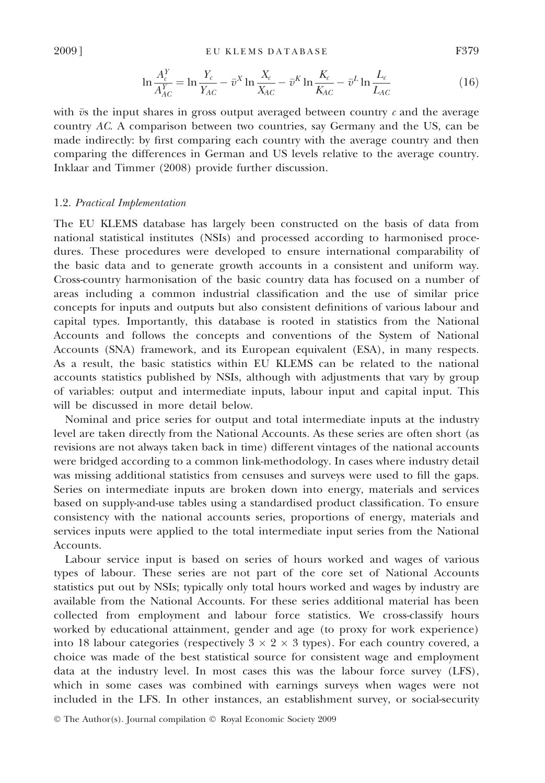$$
\ln \frac{A_{c}^{Y}}{A_{AC}^{Y}} = \ln \frac{Y_c}{Y_{AC}} - \bar{v}^{X} \ln \frac{X_c}{X_{AC}} - \bar{v}^{K} \ln \frac{K_c}{K_{AC}} - \bar{v}^{L} \ln \frac{L_c}{L_{AC}}
$$
(16)

with  $\bar{v}$ s the input shares in gross output averaged between country c and the average country AC. A comparison between two countries, say Germany and the US, can be made indirectly: by first comparing each country with the average country and then comparing the differences in German and US levels relative to the average country. Inklaar and Timmer (2008) provide further discussion.

## 1.2. Practical Implementation

The EU KLEMS database has largely been constructed on the basis of data from national statistical institutes (NSIs) and processed according to harmonised procedures. These procedures were developed to ensure international comparability of the basic data and to generate growth accounts in a consistent and uniform way. Cross-country harmonisation of the basic country data has focused on a number of areas including a common industrial classification and the use of similar price concepts for inputs and outputs but also consistent definitions of various labour and capital types. Importantly, this database is rooted in statistics from the National Accounts and follows the concepts and conventions of the System of National Accounts (SNA) framework, and its European equivalent (ESA), in many respects. As a result, the basic statistics within EU KLEMS can be related to the national accounts statistics published by NSIs, although with adjustments that vary by group of variables: output and intermediate inputs, labour input and capital input. This will be discussed in more detail below.

Nominal and price series for output and total intermediate inputs at the industry level are taken directly from the National Accounts. As these series are often short (as revisions are not always taken back in time) different vintages of the national accounts were bridged according to a common link-methodology. In cases where industry detail was missing additional statistics from censuses and surveys were used to fill the gaps. Series on intermediate inputs are broken down into energy, materials and services based on supply-and-use tables using a standardised product classification. To ensure consistency with the national accounts series, proportions of energy, materials and services inputs were applied to the total intermediate input series from the National Accounts.

Labour service input is based on series of hours worked and wages of various types of labour. These series are not part of the core set of National Accounts statistics put out by NSIs; typically only total hours worked and wages by industry are available from the National Accounts. For these series additional material has been collected from employment and labour force statistics. We cross-classify hours worked by educational attainment, gender and age (to proxy for work experience) into 18 labour categories (respectively  $3 \times 2 \times 3$  types). For each country covered, a choice was made of the best statistical source for consistent wage and employment data at the industry level. In most cases this was the labour force survey (LFS), which in some cases was combined with earnings surveys when wages were not included in the LFS. In other instances, an establishment survey, or social-security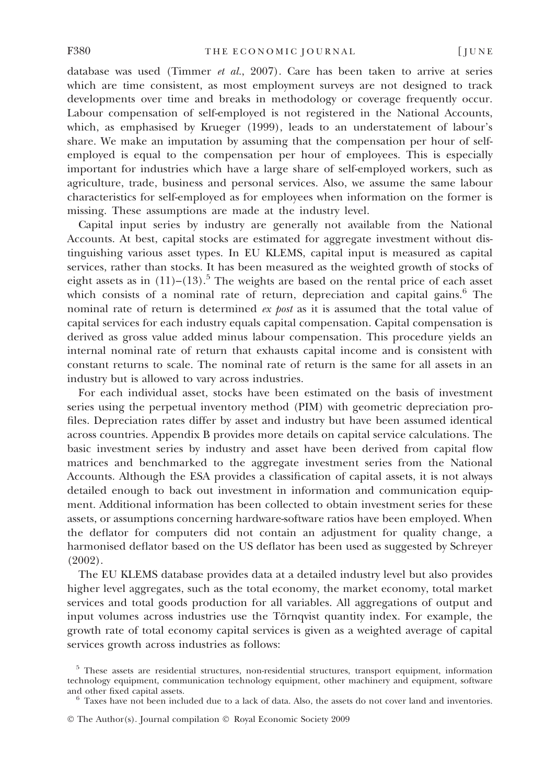database was used (Timmer *et al.*, 2007). Care has been taken to arrive at series which are time consistent, as most employment surveys are not designed to track developments over time and breaks in methodology or coverage frequently occur. Labour compensation of self-employed is not registered in the National Accounts, which, as emphasised by Krueger (1999), leads to an understatement of labour's share. We make an imputation by assuming that the compensation per hour of selfemployed is equal to the compensation per hour of employees. This is especially important for industries which have a large share of self-employed workers, such as agriculture, trade, business and personal services. Also, we assume the same labour characteristics for self-employed as for employees when information on the former is missing. These assumptions are made at the industry level.

Capital input series by industry are generally not available from the National Accounts. At best, capital stocks are estimated for aggregate investment without distinguishing various asset types. In EU KLEMS, capital input is measured as capital services, rather than stocks. It has been measured as the weighted growth of stocks of eight assets as in  $(11)$ – $(13)$ .<sup>5</sup> The weights are based on the rental price of each asset which consists of a nominal rate of return, depreciation and capital gains. $6$  The nominal rate of return is determined ex post as it is assumed that the total value of capital services for each industry equals capital compensation. Capital compensation is derived as gross value added minus labour compensation. This procedure yields an internal nominal rate of return that exhausts capital income and is consistent with constant returns to scale. The nominal rate of return is the same for all assets in an industry but is allowed to vary across industries.

For each individual asset, stocks have been estimated on the basis of investment series using the perpetual inventory method (PIM) with geometric depreciation profiles. Depreciation rates differ by asset and industry but have been assumed identical across countries. Appendix B provides more details on capital service calculations. The basic investment series by industry and asset have been derived from capital flow matrices and benchmarked to the aggregate investment series from the National Accounts. Although the ESA provides a classification of capital assets, it is not always detailed enough to back out investment in information and communication equipment. Additional information has been collected to obtain investment series for these assets, or assumptions concerning hardware-software ratios have been employed. When the deflator for computers did not contain an adjustment for quality change, a harmonised deflator based on the US deflator has been used as suggested by Schreyer (2002).

The EU KLEMS database provides data at a detailed industry level but also provides higher level aggregates, such as the total economy, the market economy, total market services and total goods production for all variables. All aggregations of output and input volumes across industries use the Törnqvist quantity index. For example, the growth rate of total economy capital services is given as a weighted average of capital services growth across industries as follows:

<sup>5</sup> These assets are residential structures, non-residential structures, transport equipment, information technology equipment, communication technology equipment, other machinery and equipment, software and other fixed capital assets.<br><sup>6</sup> Taxes have not been included due to a lack of data. Also, the assets do not cover land and inventories.

<sup>©</sup> The Author(s). Journal compilation © Royal Economic Society 2009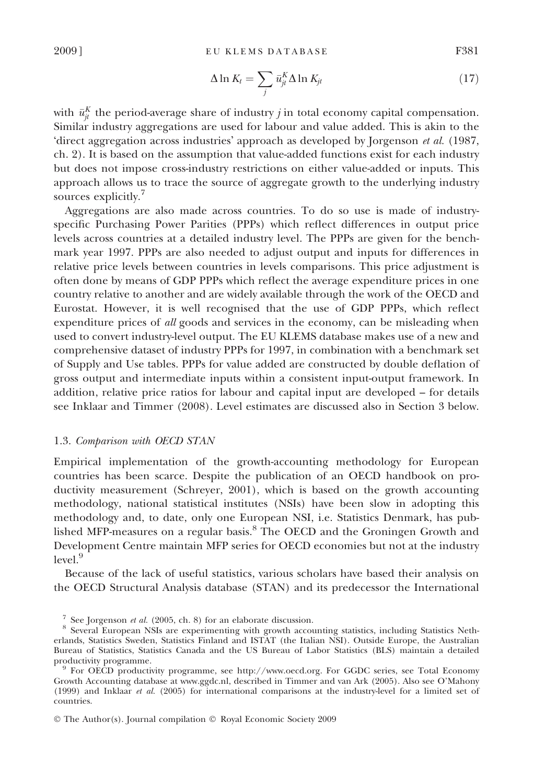$$
\Delta \ln K_t = \sum_j \bar{u}_{jt}^K \Delta \ln K_{jt} \tag{17}
$$

with  $\bar{u}^K_{ji}$  the period-average share of industry  $j$  in total economy capital compensation. Similar industry aggregations are used for labour and value added. This is akin to the !direct aggregation across industries" approach as developed by Jorgenson et al. (1987, ch. 2). It is based on the assumption that value-added functions exist for each industry but does not impose cross-industry restrictions on either value-added or inputs. This approach allows us to trace the source of aggregate growth to the underlying industry sources explicitly.<sup>7</sup>

Aggregations are also made across countries. To do so use is made of industryspecific Purchasing Power Parities (PPPs) which reflect differences in output price levels across countries at a detailed industry level. The PPPs are given for the benchmark year 1997. PPPs are also needed to adjust output and inputs for differences in relative price levels between countries in levels comparisons. This price adjustment is often done by means of GDP PPPs which reflect the average expenditure prices in one country relative to another and are widely available through the work of the OECD and Eurostat. However, it is well recognised that the use of GDP PPPs, which reflect expenditure prices of all goods and services in the economy, can be misleading when used to convert industry-level output. The EU KLEMS database makes use of a new and comprehensive dataset of industry PPPs for 1997, in combination with a benchmark set of Supply and Use tables. PPPs for value added are constructed by double deflation of gross output and intermediate inputs within a consistent input-output framework. In addition, relative price ratios for labour and capital input are developed – for details see Inklaar and Timmer (2008). Level estimates are discussed also in Section 3 below.

#### 1.3. Comparison with OECD STAN

Empirical implementation of the growth-accounting methodology for European countries has been scarce. Despite the publication of an OECD handbook on productivity measurement (Schreyer, 2001), which is based on the growth accounting methodology, national statistical institutes (NSIs) have been slow in adopting this methodology and, to date, only one European NSI, i.e. Statistics Denmark, has published MFP-measures on a regular basis.<sup>8</sup> The OECD and the Groningen Growth and Development Centre maintain MFP series for OECD economies but not at the industry  $level<sup>9</sup>$ 

Because of the lack of useful statistics, various scholars have based their analysis on the OECD Structural Analysis database (STAN) and its predecessor the International

<sup>&</sup>lt;sup>7</sup> See Jorgenson *et al.* (2005, ch. 8) for an elaborate discussion. <sup>8</sup> Several European NSIs are experimenting with growth accounting statistics, including Statistics Netherlands, Statistics Sweden, Statistics Finland and ISTAT (the Italian NSI). Outside Europe, the Australian Bureau of Statistics, Statistics Canada and the US Bureau of Labor Statistics (BLS) maintain a detailed

 $9$  For OECD productivity programme, see http://www.oecd.org. For GGDC series, see Total Economy Growth Accounting database at www.ggdc.nl, described in Timmer and van Ark (2005). Also see O'Mahony (1999) and Inklaar et al. (2005) for international comparisons at the industry-level for a limited set of countries.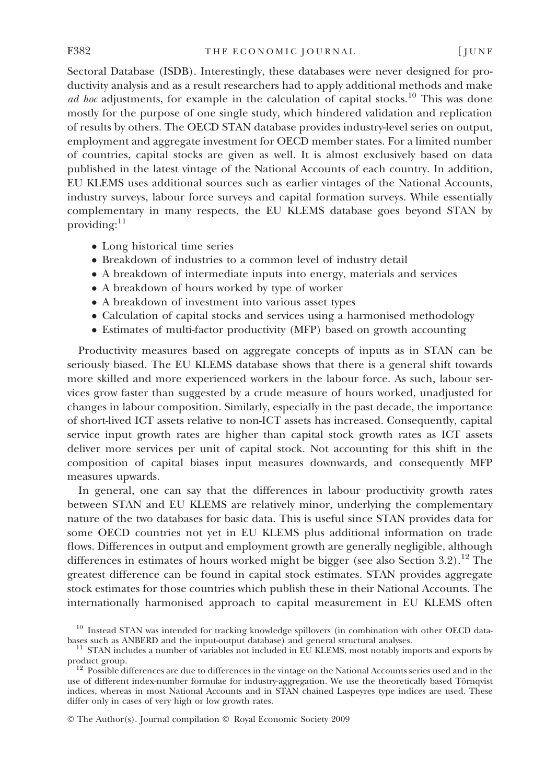Sectoral Database (ISDB). Interestingly, these databases were never designed for productivity analysis and as a result researchers had to apply additional methods and make ad hoc adjustments, for example in the calculation of capital stocks.<sup>10</sup> This was done mostly for the purpose of one single study, which hindered validation and replication of results by others. The OECD STAN database provides industry-level series on output, employment and aggregate investment for OECD member states. For a limited number of countries, capital stocks are given as well. It is almost exclusively based on data published in the latest vintage of the National Accounts of each country. In addition, EU KLEMS uses additional sources such as earlier vintages of the National Accounts, industry surveys, labour force surveys and capital formation surveys. While essentially complementary in many respects, the EU KLEMS database goes beyond STAN by providing: $11$ 

- ' Long historical time series
- ' Breakdown of industries to a common level of industry detail
- ' A breakdown of intermediate inputs into energy, materials and services
- ' A breakdown of hours worked by type of worker
- ' A breakdown of investment into various asset types
- ' Calculation of capital stocks and services using a harmonised methodology
- ' Estimates of multi-factor productivity (MFP) based on growth accounting

Productivity measures based on aggregate concepts of inputs as in STAN can be seriously biased. The EU KLEMS database shows that there is a general shift towards more skilled and more experienced workers in the labour force. As such, labour services grow faster than suggested by a crude measure of hours worked, unadjusted for changes in labour composition. Similarly, especially in the past decade, the importance of short-lived ICT assets relative to non-ICT assets has increased. Consequently, capital service input growth rates are higher than capital stock growth rates as ICT assets deliver more services per unit of capital stock. Not accounting for this shift in the composition of capital biases input measures downwards, and consequently MFP measures upwards.

In general, one can say that the differences in labour productivity growth rates between STAN and EU KLEMS are relatively minor, underlying the complementary nature of the two databases for basic data. This is useful since STAN provides data for some OECD countries not yet in EU KLEMS plus additional information on trade flows. Differences in output and employment growth are generally negligible, although differences in estimates of hours worked might be bigger (see also Section 3.2).<sup>12</sup> The greatest difference can be found in capital stock estimates. STAN provides aggregate stock estimates for those countries which publish these in their National Accounts. The internationally harmonised approach to capital measurement in EU KLEMS often

 $10$  Instead STAN was intended for tracking knowledge spillovers (in combination with other OECD data-bases such as ANBERD and the input-output database) and general structural analyses.

 $11$  STAN includes a number of variables not included in EU KLEMS, most notably imports and exports by product group.

 $12$  Possible differences are due to differences in the vintage on the National Accounts series used and in the use of different index-number formulae for industry-aggregation. We use the theoretically based Törngvist indices, whereas in most National Accounts and in STAN chained Laspeyres type indices are used. These differ only in cases of very high or low growth rates.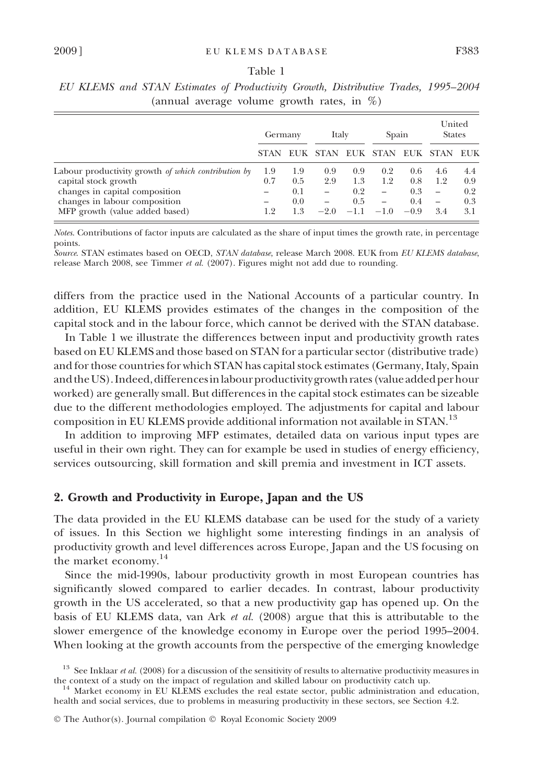# Table 1

|                                                                                    | Germany     |            | Italy                    |            | Spain                                                |            | United<br><b>States</b>                              |            |
|------------------------------------------------------------------------------------|-------------|------------|--------------------------|------------|------------------------------------------------------|------------|------------------------------------------------------|------------|
|                                                                                    | <b>STAN</b> |            | EUK STAN                 |            | EUK STAN EUK STAN                                    |            |                                                      | EUK        |
| Labour productivity growth <i>of which contribution by</i><br>capital stock growth | 1.9<br>0.7  | 1.9<br>0.5 | 0.9<br>2.9               | 0.9<br>1.3 | 0.2<br>1.2                                           | 0.6<br>0.8 | 4.6<br>1.2                                           | 4.4<br>0.9 |
| changes in capital composition<br>changes in labour composition                    | -           | 0.1<br>0.0 | $\overline{\phantom{0}}$ | 0.2<br>0.5 | $\overline{\phantom{0}}$<br>$\overline{\phantom{0}}$ | 0.3<br>0.4 | $\overline{\phantom{0}}$<br>$\overline{\phantom{0}}$ | 0.2<br>0.3 |
| MFP growth (value added based)                                                     | 1.2         | 1.3        | $-9.0$                   | $-1.1$     | $-1.0$                                               | $-0.9$     | 3.4                                                  | 3.1        |

EU KLEMS and STAN Estimates of Productivity Growth, Distributive Trades, 1995–2004 (annual average volume growth rates, in %)

Notes. Contributions of factor inputs are calculated as the share of input times the growth rate, in percentage points.

Source. STAN estimates based on OECD, STAN database, release March 2008. EUK from EU KLEMS database, release March 2008, see Timmer et al. (2007). Figures might not add due to rounding.

differs from the practice used in the National Accounts of a particular country. In addition, EU KLEMS provides estimates of the changes in the composition of the capital stock and in the labour force, which cannot be derived with the STAN database.

In Table 1 we illustrate the differences between input and productivity growth rates based on EU KLEMS and those based on STAN for a particular sector (distributive trade) and for those countries for which STAN has capital stock estimates (Germany, Italy, Spain and theUS). Indeed,differencesinlabour productivity growth rates (value added per hour worked) are generally small. But differences in the capital stock estimates can be sizeable due to the different methodologies employed. The adjustments for capital and labour composition in EU KLEMS provide additional information not available in STAN.<sup>13</sup>

In addition to improving MFP estimates, detailed data on various input types are useful in their own right. They can for example be used in studies of energy efficiency, services outsourcing, skill formation and skill premia and investment in ICT assets.

# 2. Growth and Productivity in Europe, Japan and the US

The data provided in the EU KLEMS database can be used for the study of a variety of issues. In this Section we highlight some interesting findings in an analysis of productivity growth and level differences across Europe, Japan and the US focusing on the market economy.14

Since the mid-1990s, labour productivity growth in most European countries has significantly slowed compared to earlier decades. In contrast, labour productivity growth in the US accelerated, so that a new productivity gap has opened up. On the basis of EU KLEMS data, van Ark et al. (2008) argue that this is attributable to the slower emergence of the knowledge economy in Europe over the period 1995–2004. When looking at the growth accounts from the perspective of the emerging knowledge

<sup>&</sup>lt;sup>13</sup> See Inklaar *et al.* (2008) for a discussion of the sensitivity of results to alternative productivity measures in the context of a study on the impact of regulation and skilled labour on productivity catch up.

 $14$  Market economy in EU KLEMS excludes the real estate sector, public administration and education, health and social services, due to problems in measuring productivity in these sectors, see Section 4.2.

<sup>©</sup> The Author(s). Journal compilation © Royal Economic Society 2009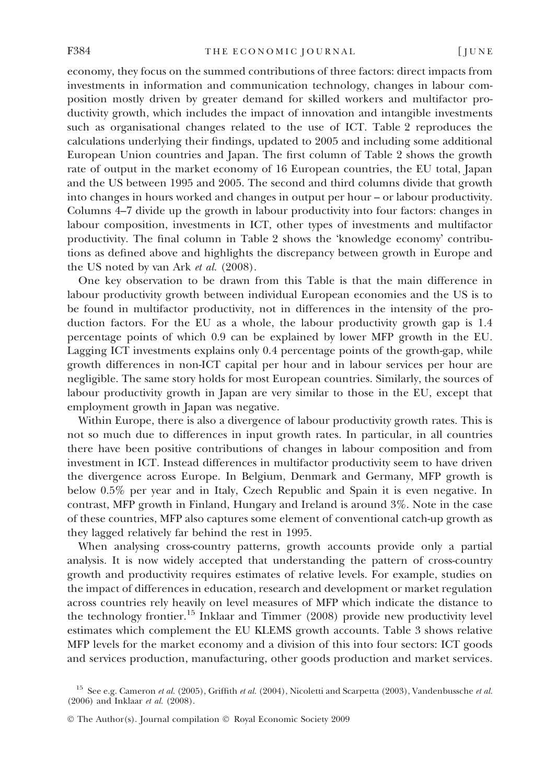economy, they focus on the summed contributions of three factors: direct impacts from investments in information and communication technology, changes in labour composition mostly driven by greater demand for skilled workers and multifactor productivity growth, which includes the impact of innovation and intangible investments such as organisational changes related to the use of ICT. Table 2 reproduces the calculations underlying their findings, updated to 2005 and including some additional European Union countries and Japan. The first column of Table 2 shows the growth rate of output in the market economy of 16 European countries, the EU total, Japan and the US between 1995 and 2005. The second and third columns divide that growth into changes in hours worked and changes in output per hour – or labour productivity. Columns 4–7 divide up the growth in labour productivity into four factors: changes in labour composition, investments in ICT, other types of investments and multifactor productivity. The final column in Table 2 shows the !knowledge economy" contributions as defined above and highlights the discrepancy between growth in Europe and the US noted by van Ark et al. (2008).

One key observation to be drawn from this Table is that the main difference in labour productivity growth between individual European economies and the US is to be found in multifactor productivity, not in differences in the intensity of the production factors. For the EU as a whole, the labour productivity growth gap is 1.4 percentage points of which 0.9 can be explained by lower MFP growth in the EU. Lagging ICT investments explains only 0.4 percentage points of the growth-gap, while growth differences in non-ICT capital per hour and in labour services per hour are negligible. The same story holds for most European countries. Similarly, the sources of labour productivity growth in Japan are very similar to those in the EU, except that employment growth in Japan was negative.

Within Europe, there is also a divergence of labour productivity growth rates. This is not so much due to differences in input growth rates. In particular, in all countries there have been positive contributions of changes in labour composition and from investment in ICT. Instead differences in multifactor productivity seem to have driven the divergence across Europe. In Belgium, Denmark and Germany, MFP growth is below 0.5% per year and in Italy, Czech Republic and Spain it is even negative. In contrast, MFP growth in Finland, Hungary and Ireland is around 3%. Note in the case of these countries, MFP also captures some element of conventional catch-up growth as they lagged relatively far behind the rest in 1995.

When analysing cross-country patterns, growth accounts provide only a partial analysis. It is now widely accepted that understanding the pattern of cross-country growth and productivity requires estimates of relative levels. For example, studies on the impact of differences in education, research and development or market regulation across countries rely heavily on level measures of MFP which indicate the distance to the technology frontier.<sup>15</sup> Inklaar and Timmer (2008) provide new productivity level estimates which complement the EU KLEMS growth accounts. Table 3 shows relative MFP levels for the market economy and a division of this into four sectors: ICT goods and services production, manufacturing, other goods production and market services.

<sup>&</sup>lt;sup>15</sup> See e.g. Cameron et al. (2005), Griffith et al. (2004), Nicoletti and Scarpetta (2003), Vandenbussche et al. (2006) and Inklaar et al. (2008).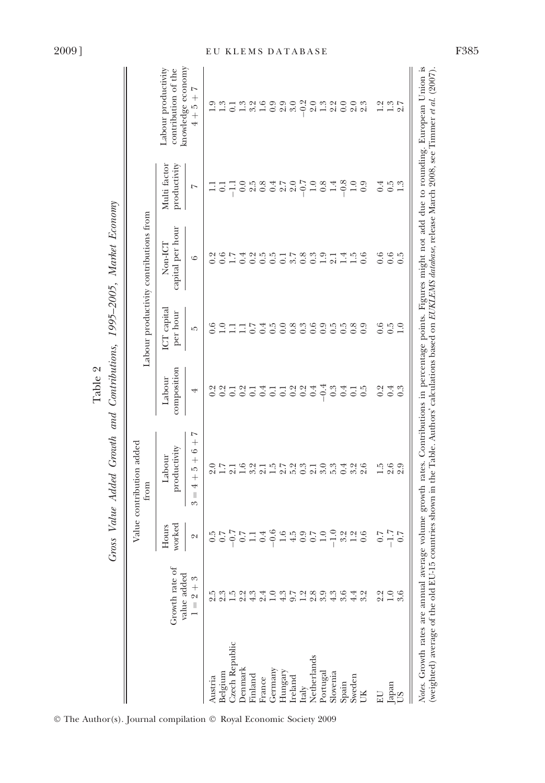|                |                                          |                 | Value contribution added<br>from                                                      |                       |                         | Labour productivity contributions from |                              |                                                             |
|----------------|------------------------------------------|-----------------|---------------------------------------------------------------------------------------|-----------------------|-------------------------|----------------------------------------|------------------------------|-------------------------------------------------------------|
|                | Growth rate of<br>value added            | worked<br>Hours | productivity<br>Labour                                                                | composition<br>Labour | ICT capital<br>per hour | capital per hour<br>Non-ICI            | productivity<br>Multi factor | Labour productivity<br>contribution of the                  |
|                | 8<br>$\frac{+}{\infty}$<br>$\frac{1}{1}$ | N               | $\overline{1}$<br>$^{+}$<br>$\circ$<br>$^{+}$<br>Ğ<br>$^{+}$<br>4<br>$\mid \mid$<br>8 | 4                     | Ğ,                      | G                                      | $\overline{1}$               | knowledge economy<br>$\mathcal{L}_{1}$<br>$^{+}$<br>$4 + 5$ |
| Austria        | īΟ.                                      |                 |                                                                                       |                       |                         | $0.\overline{2}$                       |                              |                                                             |
| Belgium        | 2.3                                      | $\sim 0$        | $\frac{7}{11}$                                                                        | 0.2                   | ੁ                       | 0.6                                    |                              | 1.3                                                         |
| Czech Republic |                                          | $-0.7$          | 2.1                                                                                   | $\overline{0}$ .      | Ξ                       | $\overline{1.7}$                       | 류                            | $\overline{0}$ .                                            |
| Denmark        | 2.2                                      | $\sim 7$        | 1.6                                                                                   | 0.2                   | Ξ                       | 0.4                                    | 0.0                          | 1.3                                                         |
| Finland        | 4.3                                      | $\Xi$           | 3.2                                                                                   | $\overline{0}$ .      | $\zeta$ .               |                                        | 2.5                          | 3.2                                                         |
| France         | 2.4                                      | 0.4             | 2.1                                                                                   | 0.4                   | 0.4                     | $0.55$<br>$0.55$                       | 0.8                          | 1.6                                                         |
| Germany        |                                          | $-0.6$          | 1.5                                                                                   | 0.1                   | 0.5                     |                                        | 0.4                          | 0.9                                                         |
| Hungary        | 4.3                                      | 1.6             | 2.7                                                                                   | $\overline{0}$ .      | $\ddot{0}$ .            | 0.1                                    | 2.7                          | 2.9                                                         |
| Ireland        |                                          | 4.5             | 5.2                                                                                   |                       | $0.\overline{8}$        | 5.7                                    | $2.0\,$                      | 3.0                                                         |
| Italy          |                                          | 0.9             | $0.\overline{3}$                                                                      |                       | 0.3                     | 0.8                                    | $-0.7$                       | $-0.2$                                                      |
| Netherlands    | $1.800$<br>$-0.800$                      | $\sim$          | 2.1                                                                                   | $0.84$<br>$0.04$      | 0.6                     | $0.\overline{3}$                       | 1.0                          | $2.0\,$                                                     |
| Portugal       |                                          | 1.0             | 3.0                                                                                   | $-0.4$                | 0.9                     | 1.9                                    | 0.8                          | 1.3                                                         |
| Slovenia       | 4.3                                      | $-1.0$          | 5.3                                                                                   | 0.3                   | 0.5                     | 2.1                                    | 1.4                          | 2.2                                                         |
| Spain          | 3.6                                      | 3.2             | 0.4                                                                                   | 0.4                   | 0.5                     | $1.5 + 1.5$                            | $-0.8$                       | 0.0                                                         |
| Sweden         | $\frac{4}{4}$                            | 1.2             | 3.2                                                                                   | $\overline{0}$ .      | 0.8                     |                                        | $\overline{1.0}$             | 2.0                                                         |
| UK             | 3.2                                      | 0.6             | 2.6                                                                                   | $0.\overline{5}$      | 0.9                     | 0.6                                    | 0.9                          | 2.3                                                         |
| EU             | 2.2                                      | $\sim 0$        | 1.5                                                                                   | 0.2                   | 0.6                     | 0.6                                    | 0.4                          | 1.2                                                         |
| Japan          |                                          | $-1.7$          | 2.6                                                                                   | 0.4                   | $0.5^{\circ}$           | 0.6                                    | 0.5                          | 1.3                                                         |
|                | 3.6                                      | 7.0             | 2.9                                                                                   | 0.3                   | P                       | 0.5                                    | 1.3                          | 2.7                                                         |

Table 2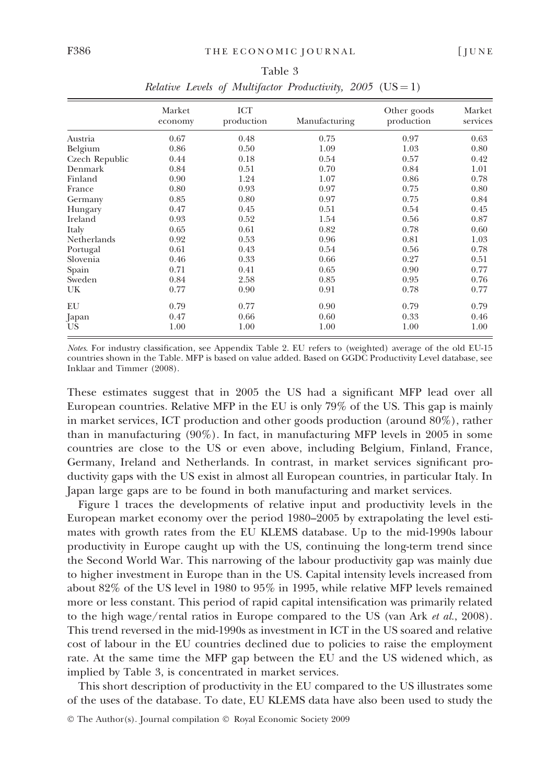|                | Market<br>economy | ICT<br>production | Manufacturing | Other goods<br>production | Market<br>services |
|----------------|-------------------|-------------------|---------------|---------------------------|--------------------|
| Austria        | 0.67              | 0.48              | 0.75          | 0.97                      | 0.63               |
| Belgium        | 0.86              | 0.50              | 1.09          | 1.03                      | 0.80               |
| Czech Republic | 0.44              | 0.18              | 0.54          | 0.57                      | 0.42               |
| Denmark        | 0.84              | 0.51              | 0.70          | 0.84                      | 1.01               |
| Finland        | 0.90              | 1.24              | 1.07          | 0.86                      | 0.78               |
| France         | 0.80              | 0.93              | 0.97          | 0.75                      | 0.80               |
| Germany        | 0.85              | 0.80              | 0.97          | 0.75                      | 0.84               |
| Hungary        | 0.47              | 0.45              | 0.51          | 0.54                      | 0.45               |
| Ireland        | 0.93              | 0.52              | 1.54          | 0.56                      | 0.87               |
| Italy          | 0.65              | 0.61              | 0.82          | 0.78                      | 0.60               |
| Netherlands    | 0.92              | 0.53              | 0.96          | 0.81                      | 1.03               |
| Portugal       | 0.61              | 0.43              | 0.54          | 0.56                      | 0.78               |
| Slovenia       | 0.46              | 0.33              | 0.66          | 0.27                      | 0.51               |
| Spain          | 0.71              | 0.41              | 0.65          | 0.90                      | 0.77               |
| Sweden         | 0.84              | 2.58              | 0.85          | 0.95                      | 0.76               |
| UK             | 0.77              | 0.90              | 0.91          | 0.78                      | 0.77               |
| EU             | 0.79              | 0.77              | 0.90          | 0.79                      | 0.79               |
| Japan          | 0.47              | 0.66              | 0.60          | 0.33                      | 0.46               |
| US             | 1.00              | 1.00              | 1.00          | 1.00                      | 1.00               |

Table 3 Relative Levels of Multifactor Productivity,  $2005$  (US = 1)

Notes. For industry classification, see Appendix Table 2. EU refers to (weighted) average of the old EU-15 countries shown in the Table. MFP is based on value added. Based on GGDC Productivity Level database, see Inklaar and Timmer (2008).

These estimates suggest that in 2005 the US had a significant MFP lead over all European countries. Relative MFP in the EU is only 79% of the US. This gap is mainly in market services, ICT production and other goods production (around 80%), rather than in manufacturing (90%). In fact, in manufacturing MFP levels in 2005 in some countries are close to the US or even above, including Belgium, Finland, France, Germany, Ireland and Netherlands. In contrast, in market services significant productivity gaps with the US exist in almost all European countries, in particular Italy. In Japan large gaps are to be found in both manufacturing and market services.

Figure 1 traces the developments of relative input and productivity levels in the European market economy over the period 1980–2005 by extrapolating the level estimates with growth rates from the EU KLEMS database. Up to the mid-1990s labour productivity in Europe caught up with the US, continuing the long-term trend since the Second World War. This narrowing of the labour productivity gap was mainly due to higher investment in Europe than in the US. Capital intensity levels increased from about 82% of the US level in 1980 to 95% in 1995, while relative MFP levels remained more or less constant. This period of rapid capital intensification was primarily related to the high wage/rental ratios in Europe compared to the US (van Ark  $et al., 2008$ ). This trend reversed in the mid-1990s as investment in ICT in the US soared and relative cost of labour in the EU countries declined due to policies to raise the employment rate. At the same time the MFP gap between the EU and the US widened which, as implied by Table 3, is concentrated in market services.

This short description of productivity in the EU compared to the US illustrates some of the uses of the database. To date, EU KLEMS data have also been used to study the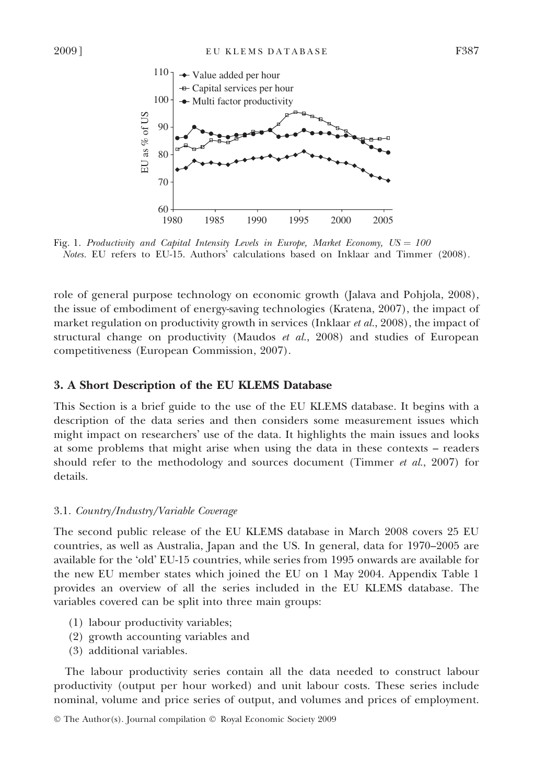

Fig. 1. Productivity and Capital Intensity Levels in Europe, Market Economy,  $US = 100$ Notes. EU refers to EU-15. Authors' calculations based on Inklaar and Timmer (2008).

role of general purpose technology on economic growth (Jalava and Pohjola, 2008), the issue of embodiment of energy-saving technologies (Kratena, 2007), the impact of market regulation on productivity growth in services (Inklaar et al., 2008), the impact of structural change on productivity (Maudos et al., 2008) and studies of European competitiveness (European Commission, 2007).

# 3. A Short Description of the EU KLEMS Database

This Section is a brief guide to the use of the EU KLEMS database. It begins with a description of the data series and then considers some measurement issues which might impact on researchers" use of the data. It highlights the main issues and looks at some problems that might arise when using the data in these contexts – readers should refer to the methodology and sources document (Timmer *et al.*, 2007) for details.

#### 3.1. Country/Industry/Variable Coverage

The second public release of the EU KLEMS database in March 2008 covers 25 EU countries, as well as Australia, Japan and the US. In general, data for 1970–2005 are available for the 'old' EU-15 countries, while series from 1995 onwards are available for the new EU member states which joined the EU on 1 May 2004. Appendix Table 1 provides an overview of all the series included in the EU KLEMS database. The variables covered can be split into three main groups:

- (1) labour productivity variables;
- (2) growth accounting variables and
- (3) additional variables.

The labour productivity series contain all the data needed to construct labour productivity (output per hour worked) and unit labour costs. These series include nominal, volume and price series of output, and volumes and prices of employment.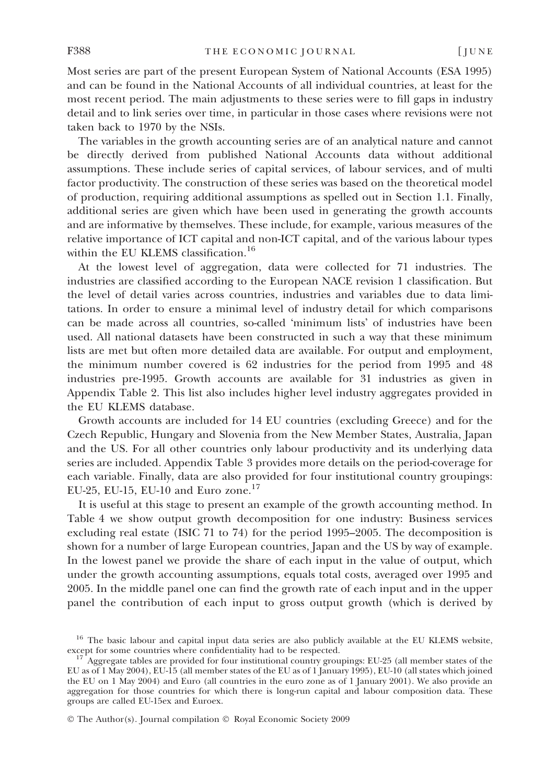Most series are part of the present European System of National Accounts (ESA 1995) and can be found in the National Accounts of all individual countries, at least for the most recent period. The main adjustments to these series were to fill gaps in industry detail and to link series over time, in particular in those cases where revisions were not taken back to 1970 by the NSIs.

The variables in the growth accounting series are of an analytical nature and cannot be directly derived from published National Accounts data without additional assumptions. These include series of capital services, of labour services, and of multi factor productivity. The construction of these series was based on the theoretical model of production, requiring additional assumptions as spelled out in Section 1.1. Finally, additional series are given which have been used in generating the growth accounts and are informative by themselves. These include, for example, various measures of the relative importance of ICT capital and non-ICT capital, and of the various labour types within the EU KLEMS classification.<sup>16</sup>

At the lowest level of aggregation, data were collected for 71 industries. The industries are classified according to the European NACE revision 1 classification. But the level of detail varies across countries, industries and variables due to data limitations. In order to ensure a minimal level of industry detail for which comparisons can be made across all countries, so-called 'minimum lists' of industries have been used. All national datasets have been constructed in such a way that these minimum lists are met but often more detailed data are available. For output and employment, the minimum number covered is 62 industries for the period from 1995 and 48 industries pre-1995. Growth accounts are available for 31 industries as given in Appendix Table 2. This list also includes higher level industry aggregates provided in the EU KLEMS database.

Growth accounts are included for 14 EU countries (excluding Greece) and for the Czech Republic, Hungary and Slovenia from the New Member States, Australia, Japan and the US. For all other countries only labour productivity and its underlying data series are included. Appendix Table 3 provides more details on the period-coverage for each variable. Finally, data are also provided for four institutional country groupings: EU-25, EU-15, EU-10 and Euro zone. $17$ 

It is useful at this stage to present an example of the growth accounting method. In Table 4 we show output growth decomposition for one industry: Business services excluding real estate (ISIC 71 to 74) for the period 1995–2005. The decomposition is shown for a number of large European countries, Japan and the US by way of example. In the lowest panel we provide the share of each input in the value of output, which under the growth accounting assumptions, equals total costs, averaged over 1995 and 2005. In the middle panel one can find the growth rate of each input and in the upper panel the contribution of each input to gross output growth (which is derived by

 $16$  The basic labour and capital input data series are also publicly available at the EU KLEMS website, except for some countries where confidentiality had to be respected.

 $17$  Aggregate tables are provided for four institutional country groupings: EU-25 (all member states of the EU as of 1 May 2004), EU-15 (all member states of the EU as of 1 January 1995), EU-10 (all states which joined the EU on 1 May 2004) and Euro (all countries in the euro zone as of 1 January 2001). We also provide an aggregation for those countries for which there is long-run capital and labour composition data. These groups are called EU-15ex and Euroex.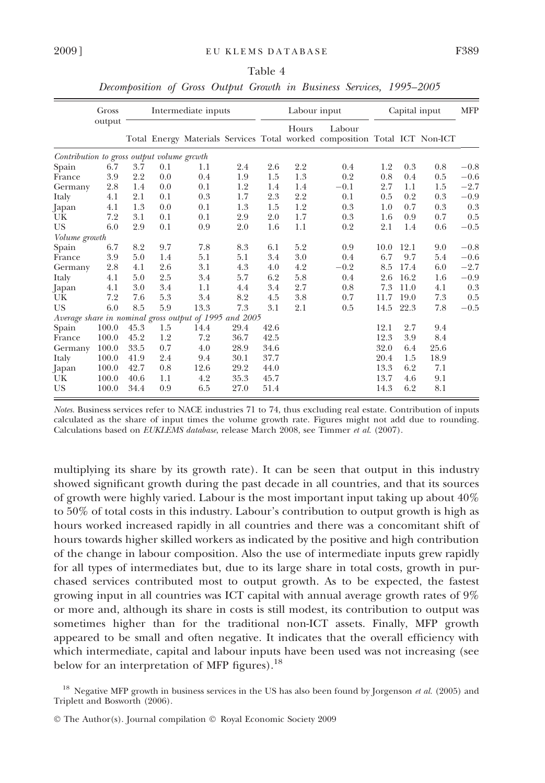|                                            | Intermediate inputs<br>Gross |      |     |                                                        |      |      | Labour input | Capital input                                                                        |      |      | <b>MFP</b> |        |
|--------------------------------------------|------------------------------|------|-----|--------------------------------------------------------|------|------|--------------|--------------------------------------------------------------------------------------|------|------|------------|--------|
|                                            | output                       |      |     |                                                        |      |      | Hours        | Labour<br>Total Energy Materials Services Total worked composition Total ICT Non-ICT |      |      |            |        |
| Contribution to gross output volume growth |                              |      |     |                                                        |      |      |              |                                                                                      |      |      |            |        |
| Spain                                      | 6.7                          | 3.7  | 0.1 | 1.1                                                    | 2.4  | 2.6  | 2.2          | 0.4                                                                                  | 1.2  | 0.3  | 0.8        | $-0.8$ |
| France                                     | 3.9                          | 2.2  | 0.0 | 0.4                                                    | 1.9  | 1.5  | 1.3          | 0.2                                                                                  | 0.8  | 0.4  | 0.5        | $-0.6$ |
| Germany                                    | 2.8                          | 1.4  | 0.0 | 0.1                                                    | 1.2  | 1.4  | 1.4          | $-0.1$                                                                               | 2.7  | 1.1  | 1.5        | $-2.7$ |
| Italy                                      | 4.1                          | 2.1  | 0.1 | 0.3                                                    | 1.7  | 2.3  | 2.2          | 0.1                                                                                  | 0.5  | 0.2  | 0.3        | $-0.9$ |
| Japan                                      | 4.1                          | 1.3  | 0.0 | 0.1                                                    | 1.3  | 1.5  | 1.2          | 0.3                                                                                  | 1.0  | 0.7  | 0.3        | 0.3    |
| UK                                         | 7.2                          | 3.1  | 0.1 | 0.1                                                    | 2.9  | 2.0  | 1.7          | 0.3                                                                                  | 1.6  | 0.9  | 0.7        | 0.5    |
| US                                         | 6.0                          | 2.9  | 0.1 | 0.9                                                    | 2.0  | 1.6  | 1.1          | 0.2                                                                                  | 2.1  | 1.4  | 0.6        | $-0.5$ |
| Volume growth                              |                              |      |     |                                                        |      |      |              |                                                                                      |      |      |            |        |
| Spain                                      | 6.7                          | 8.2  | 9.7 | 7.8                                                    | 8.3  | 6.1  | 5.2          | 0.9                                                                                  | 10.0 | 12.1 | 9.0        | $-0.8$ |
| France                                     | 3.9                          | 5.0  | 1.4 | 5.1                                                    | 5.1  | 3.4  | 3.0          | 0.4                                                                                  | 6.7  | 9.7  | 5.4        | $-0.6$ |
| Germany                                    | 2.8                          | 4.1  | 2.6 | 3.1                                                    | 4.3  | 4.0  | 4.2          | $-0.2$                                                                               | 8.5  | 17.4 | 6.0        | $-2.7$ |
| Italy                                      | 4.1                          | 5.0  | 2.5 | 3.4                                                    | 5.7  | 6.2  | 5.8          | 0.4                                                                                  | 2.6  | 16.2 | 1.6        | $-0.9$ |
| Japan                                      | 4.1                          | 3.0  | 3.4 | 1.1                                                    | 4.4  | 3.4  | 2.7          | 0.8                                                                                  | 7.3  | 11.0 | 4.1        | 0.3    |
| UK                                         | 7.2                          | 7.6  | 5.3 | 3.4                                                    | 8.2  | 4.5  | 3.8          | 0.7                                                                                  | 11.7 | 19.0 | 7.3        | 0.5    |
| US                                         | 6.0                          | 8.5  | 5.9 | 13.3                                                   | 7.3  | 3.1  | 2.1          | 0.5                                                                                  | 14.5 | 22.3 | 7.8        | $-0.5$ |
|                                            |                              |      |     | Average share in nominal gross output of 1995 and 2005 |      |      |              |                                                                                      |      |      |            |        |
| Spain                                      | 100.0                        | 45.3 | 1.5 | 14.4                                                   | 29.4 | 42.6 |              |                                                                                      | 12.1 | 2.7  | 9.4        |        |
| France                                     | 100.0                        | 45.2 | 1.2 | 7.2                                                    | 36.7 | 42.5 |              |                                                                                      | 12.3 | 3.9  | 8.4        |        |
| Germany                                    | 100.0                        | 33.5 | 0.7 | 4.0                                                    | 28.9 | 34.6 |              |                                                                                      | 32.0 | 6.4  | 25.6       |        |
| Italy                                      | 100.0                        | 41.9 | 2.4 | 9.4                                                    | 30.1 | 37.7 |              |                                                                                      | 20.4 | 1.5  | 18.9       |        |
| Japan                                      | 100.0                        | 42.7 | 0.8 | 12.6                                                   | 29.2 | 44.0 |              |                                                                                      | 13.3 | 6.2  | 7.1        |        |
| UK                                         | 100.0                        | 40.6 | 1.1 | 4.2                                                    | 35.3 | 45.7 |              |                                                                                      | 13.7 | 4.6  | 9.1        |        |
| US                                         | 100.0                        | 34.4 | 0.9 | 6.5                                                    | 27.0 | 51.4 |              |                                                                                      | 14.3 | 6.2  | 8.1        |        |
|                                            |                              |      |     |                                                        |      |      |              |                                                                                      |      |      |            |        |

| Table 4                                                              |  |  |  |  |  |  |  |  |
|----------------------------------------------------------------------|--|--|--|--|--|--|--|--|
| Decomposition of Gross Output Growth in Business Services, 1995–2005 |  |  |  |  |  |  |  |  |

Notes. Business services refer to NACE industries 71 to 74, thus excluding real estate. Contribution of inputs calculated as the share of input times the volume growth rate. Figures might not add due to rounding. Calculations based on EUKLEMS database, release March 2008, see Timmer et al. (2007).

multiplying its share by its growth rate). It can be seen that output in this industry showed significant growth during the past decade in all countries, and that its sources of growth were highly varied. Labour is the most important input taking up about 40% to 50% of total costs in this industry. Labour's contribution to output growth is high as hours worked increased rapidly in all countries and there was a concomitant shift of hours towards higher skilled workers as indicated by the positive and high contribution of the change in labour composition. Also the use of intermediate inputs grew rapidly for all types of intermediates but, due to its large share in total costs, growth in purchased services contributed most to output growth. As to be expected, the fastest growing input in all countries was ICT capital with annual average growth rates of 9% or more and, although its share in costs is still modest, its contribution to output was sometimes higher than for the traditional non-ICT assets. Finally, MFP growth appeared to be small and often negative. It indicates that the overall efficiency with which intermediate, capital and labour inputs have been used was not increasing (see below for an interpretation of MFP figures).<sup>18</sup>

<sup>18</sup> Negative MFP growth in business services in the US has also been found by Jorgenson *et al.* (2005) and Triplett and Bosworth (2006).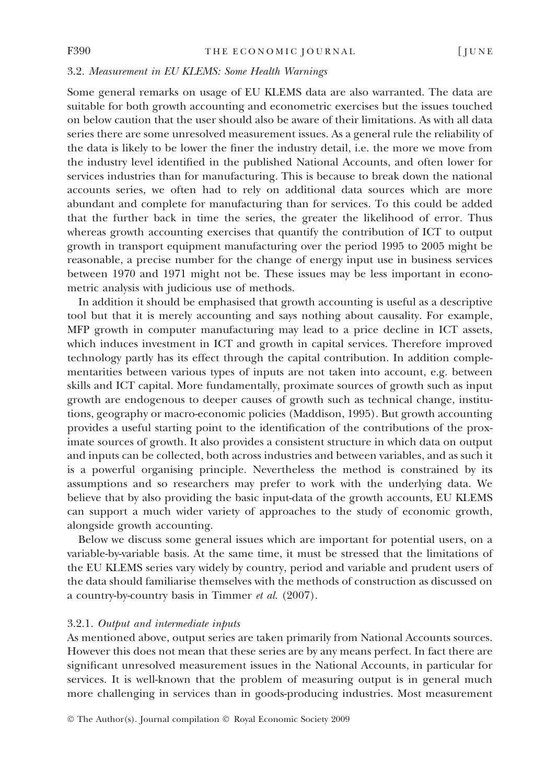# 3.2. Measurement in EU KLEMS: Some Health Warnings

Some general remarks on usage of EU KLEMS data are also warranted. The data are suitable for both growth accounting and econometric exercises but the issues touched on below caution that the user should also be aware of their limitations. As with all data series there are some unresolved measurement issues. As a general rule the reliability of the data is likely to be lower the finer the industry detail, i.e. the more we move from the industry level identified in the published National Accounts, and often lower for services industries than for manufacturing. This is because to break down the national accounts series, we often had to rely on additional data sources which are more abundant and complete for manufacturing than for services. To this could be added that the further back in time the series, the greater the likelihood of error. Thus whereas growth accounting exercises that quantify the contribution of ICT to output growth in transport equipment manufacturing over the period 1995 to 2005 might be reasonable, a precise number for the change of energy input use in business services between 1970 and 1971 might not be. These issues may be less important in econometric analysis with judicious use of methods.

In addition it should be emphasised that growth accounting is useful as a descriptive tool but that it is merely accounting and says nothing about causality. For example, MFP growth in computer manufacturing may lead to a price decline in ICT assets, which induces investment in ICT and growth in capital services. Therefore improved technology partly has its effect through the capital contribution. In addition complementarities between various types of inputs are not taken into account, e.g. between skills and ICT capital. More fundamentally, proximate sources of growth such as input growth are endogenous to deeper causes of growth such as technical change, institutions, geography or macro-economic policies (Maddison, 1995). But growth accounting provides a useful starting point to the identification of the contributions of the proximate sources of growth. It also provides a consistent structure in which data on output and inputs can be collected, both across industries and between variables, and as such it is a powerful organising principle. Nevertheless the method is constrained by its assumptions and so researchers may prefer to work with the underlying data. We believe that by also providing the basic input-data of the growth accounts, EU KLEMS can support a much wider variety of approaches to the study of economic growth, alongside growth accounting.

Below we discuss some general issues which are important for potential users, on a variable-by-variable basis. At the same time, it must be stressed that the limitations of the EU KLEMS series vary widely by country, period and variable and prudent users of the data should familiarise themselves with the methods of construction as discussed on a country-by-country basis in Timmer et al. (2007).

#### 3.2.1. Output and intermediate inputs

As mentioned above, output series are taken primarily from National Accounts sources. However this does not mean that these series are by any means perfect. In fact there are significant unresolved measurement issues in the National Accounts, in particular for services. It is well-known that the problem of measuring output is in general much more challenging in services than in goods-producing industries. Most measurement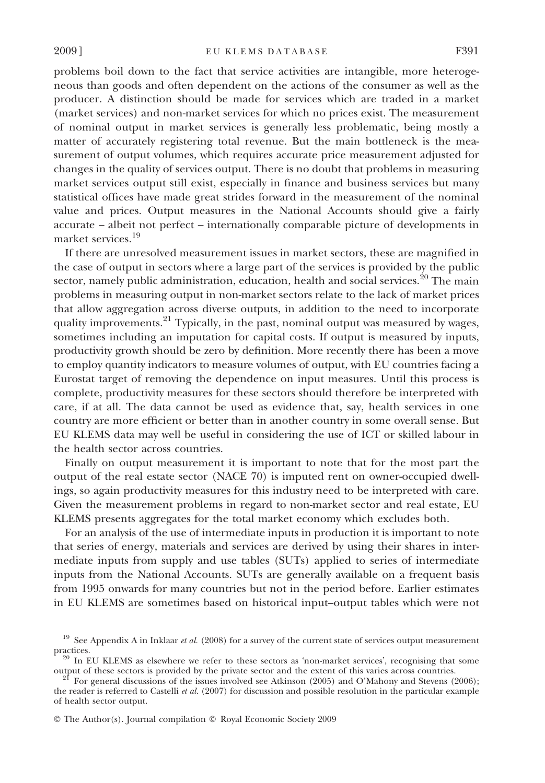problems boil down to the fact that service activities are intangible, more heterogeneous than goods and often dependent on the actions of the consumer as well as the producer. A distinction should be made for services which are traded in a market (market services) and non-market services for which no prices exist. The measurement of nominal output in market services is generally less problematic, being mostly a matter of accurately registering total revenue. But the main bottleneck is the measurement of output volumes, which requires accurate price measurement adjusted for changes in the quality of services output. There is no doubt that problems in measuring market services output still exist, especially in finance and business services but many statistical offices have made great strides forward in the measurement of the nominal value and prices. Output measures in the National Accounts should give a fairly accurate – albeit not perfect – internationally comparable picture of developments in market services.<sup>19</sup>

If there are unresolved measurement issues in market sectors, these are magnified in the case of output in sectors where a large part of the services is provided by the public sector, namely public administration, education, health and social services.<sup>20</sup> The main problems in measuring output in non-market sectors relate to the lack of market prices that allow aggregation across diverse outputs, in addition to the need to incorporate quality improvements.<sup>21</sup> Typically, in the past, nominal output was measured by wages, sometimes including an imputation for capital costs. If output is measured by inputs, productivity growth should be zero by definition. More recently there has been a move to employ quantity indicators to measure volumes of output, with EU countries facing a Eurostat target of removing the dependence on input measures. Until this process is complete, productivity measures for these sectors should therefore be interpreted with care, if at all. The data cannot be used as evidence that, say, health services in one country are more efficient or better than in another country in some overall sense. But EU KLEMS data may well be useful in considering the use of ICT or skilled labour in the health sector across countries.

Finally on output measurement it is important to note that for the most part the output of the real estate sector (NACE 70) is imputed rent on owner-occupied dwellings, so again productivity measures for this industry need to be interpreted with care. Given the measurement problems in regard to non-market sector and real estate, EU KLEMS presents aggregates for the total market economy which excludes both.

For an analysis of the use of intermediate inputs in production it is important to note that series of energy, materials and services are derived by using their shares in intermediate inputs from supply and use tables (SUTs) applied to series of intermediate inputs from the National Accounts. SUTs are generally available on a frequent basis from 1995 onwards for many countries but not in the period before. Earlier estimates in EU KLEMS are sometimes based on historical input–output tables which were not

<sup>&</sup>lt;sup>19</sup> See Appendix A in Inklaar *et al.* (2008) for a survey of the current state of services output measurement practices.

 $p^2$ <sup>20</sup> In EU KLEMS as elsewhere we refer to these sectors as 'non-market services', recognising that some output of these sectors is provided by the private sector and the extent of this varies across countries.

<sup>&</sup>lt;sup>21</sup> For general discussions of the issues involved see Atkinson (2005) and O'Mahony and Stevens (2006); the reader is referred to Castelli et al. (2007) for discussion and possible resolution in the particular example of health sector output.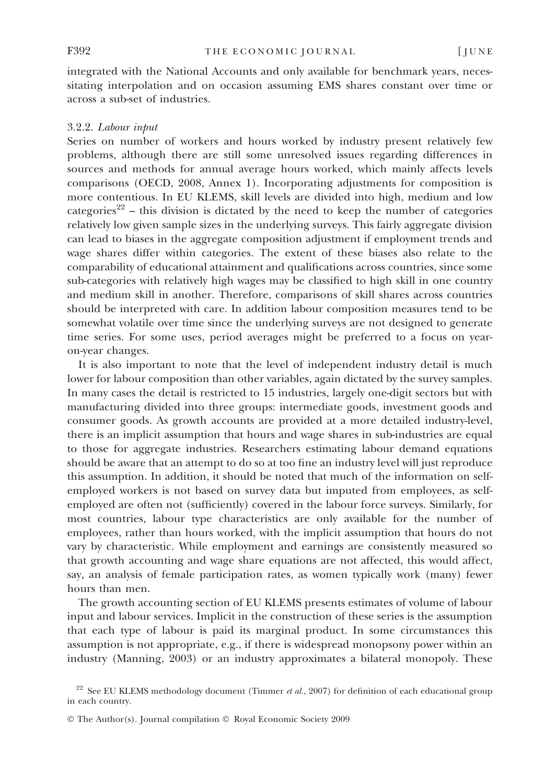integrated with the National Accounts and only available for benchmark years, necessitating interpolation and on occasion assuming EMS shares constant over time or across a sub-set of industries.

# 3.2.2. Labour input

Series on number of workers and hours worked by industry present relatively few problems, although there are still some unresolved issues regarding differences in sources and methods for annual average hours worked, which mainly affects levels comparisons (OECD, 2008, Annex 1). Incorporating adjustments for composition is more contentious. In EU KLEMS, skill levels are divided into high, medium and low categories<sup>22</sup> – this division is dictated by the need to keep the number of categories relatively low given sample sizes in the underlying surveys. This fairly aggregate division can lead to biases in the aggregate composition adjustment if employment trends and wage shares differ within categories. The extent of these biases also relate to the comparability of educational attainment and qualifications across countries, since some sub-categories with relatively high wages may be classified to high skill in one country and medium skill in another. Therefore, comparisons of skill shares across countries should be interpreted with care. In addition labour composition measures tend to be somewhat volatile over time since the underlying surveys are not designed to generate time series. For some uses, period averages might be preferred to a focus on yearon-year changes.

It is also important to note that the level of independent industry detail is much lower for labour composition than other variables, again dictated by the survey samples. In many cases the detail is restricted to 15 industries, largely one-digit sectors but with manufacturing divided into three groups: intermediate goods, investment goods and consumer goods. As growth accounts are provided at a more detailed industry-level, there is an implicit assumption that hours and wage shares in sub-industries are equal to those for aggregate industries. Researchers estimating labour demand equations should be aware that an attempt to do so at too fine an industry level will just reproduce this assumption. In addition, it should be noted that much of the information on selfemployed workers is not based on survey data but imputed from employees, as selfemployed are often not (sufficiently) covered in the labour force surveys. Similarly, for most countries, labour type characteristics are only available for the number of employees, rather than hours worked, with the implicit assumption that hours do not vary by characteristic. While employment and earnings are consistently measured so that growth accounting and wage share equations are not affected, this would affect, say, an analysis of female participation rates, as women typically work (many) fewer hours than men.

The growth accounting section of EU KLEMS presents estimates of volume of labour input and labour services. Implicit in the construction of these series is the assumption that each type of labour is paid its marginal product. In some circumstances this assumption is not appropriate, e.g., if there is widespread monopsony power within an industry (Manning, 2003) or an industry approximates a bilateral monopoly. These

<sup>&</sup>lt;sup>22</sup> See EU KLEMS methodology document (Timmer et al., 2007) for definition of each educational group in each country.

<sup>©</sup> The Author(s). Journal compilation © Royal Economic Society 2009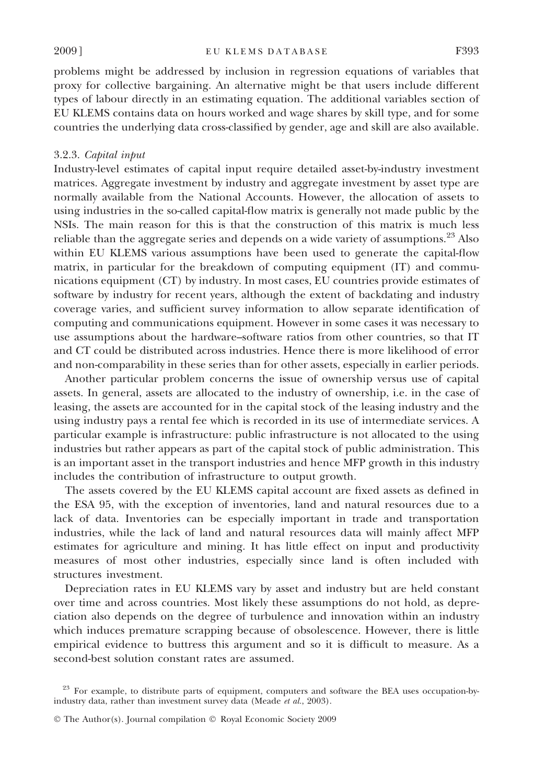problems might be addressed by inclusion in regression equations of variables that proxy for collective bargaining. An alternative might be that users include different types of labour directly in an estimating equation. The additional variables section of EU KLEMS contains data on hours worked and wage shares by skill type, and for some countries the underlying data cross-classified by gender, age and skill are also available.

## 3.2.3. Capital input

Industry-level estimates of capital input require detailed asset-by-industry investment matrices. Aggregate investment by industry and aggregate investment by asset type are normally available from the National Accounts. However, the allocation of assets to using industries in the so-called capital-flow matrix is generally not made public by the NSIs. The main reason for this is that the construction of this matrix is much less reliable than the aggregate series and depends on a wide variety of assumptions.<sup>23</sup> Also within EU KLEMS various assumptions have been used to generate the capital-flow matrix, in particular for the breakdown of computing equipment (IT) and communications equipment (CT) by industry. In most cases, EU countries provide estimates of software by industry for recent years, although the extent of backdating and industry coverage varies, and sufficient survey information to allow separate identification of computing and communications equipment. However in some cases it was necessary to use assumptions about the hardware–software ratios from other countries, so that IT and CT could be distributed across industries. Hence there is more likelihood of error and non-comparability in these series than for other assets, especially in earlier periods.

Another particular problem concerns the issue of ownership versus use of capital assets. In general, assets are allocated to the industry of ownership, i.e. in the case of leasing, the assets are accounted for in the capital stock of the leasing industry and the using industry pays a rental fee which is recorded in its use of intermediate services. A particular example is infrastructure: public infrastructure is not allocated to the using industries but rather appears as part of the capital stock of public administration. This is an important asset in the transport industries and hence MFP growth in this industry includes the contribution of infrastructure to output growth.

The assets covered by the EU KLEMS capital account are fixed assets as defined in the ESA 95, with the exception of inventories, land and natural resources due to a lack of data. Inventories can be especially important in trade and transportation industries, while the lack of land and natural resources data will mainly affect MFP estimates for agriculture and mining. It has little effect on input and productivity measures of most other industries, especially since land is often included with structures investment.

Depreciation rates in EU KLEMS vary by asset and industry but are held constant over time and across countries. Most likely these assumptions do not hold, as depreciation also depends on the degree of turbulence and innovation within an industry which induces premature scrapping because of obsolescence. However, there is little empirical evidence to buttress this argument and so it is difficult to measure. As a second-best solution constant rates are assumed.

<sup>&</sup>lt;sup>23</sup> For example, to distribute parts of equipment, computers and software the BEA uses occupation-byindustry data, rather than investment survey data (Meade et al., 2003).

<sup>©</sup> The Author(s). Journal compilation © Royal Economic Society 2009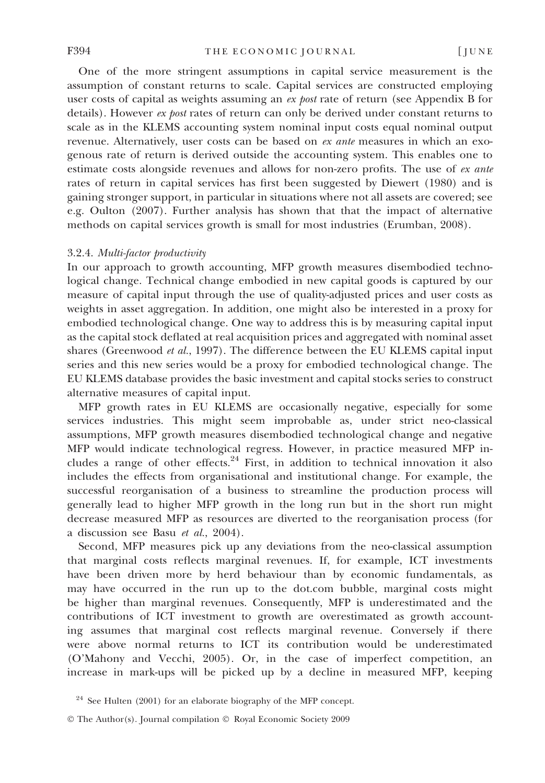One of the more stringent assumptions in capital service measurement is the assumption of constant returns to scale. Capital services are constructed employing user costs of capital as weights assuming an ex post rate of return (see Appendix B for details). However ex post rates of return can only be derived under constant returns to scale as in the KLEMS accounting system nominal input costs equal nominal output revenue. Alternatively, user costs can be based on ex ante measures in which an exogenous rate of return is derived outside the accounting system. This enables one to estimate costs alongside revenues and allows for non-zero profits. The use of ex ante rates of return in capital services has first been suggested by Diewert (1980) and is gaining stronger support, in particular in situations where not all assets are covered; see e.g. Oulton (2007). Further analysis has shown that that the impact of alternative methods on capital services growth is small for most industries (Erumban, 2008).

#### 3.2.4. Multi-factor productivity

In our approach to growth accounting, MFP growth measures disembodied technological change. Technical change embodied in new capital goods is captured by our measure of capital input through the use of quality-adjusted prices and user costs as weights in asset aggregation. In addition, one might also be interested in a proxy for embodied technological change. One way to address this is by measuring capital input as the capital stock deflated at real acquisition prices and aggregated with nominal asset shares (Greenwood et al., 1997). The difference between the EU KLEMS capital input series and this new series would be a proxy for embodied technological change. The EU KLEMS database provides the basic investment and capital stocks series to construct alternative measures of capital input.

MFP growth rates in EU KLEMS are occasionally negative, especially for some services industries. This might seem improbable as, under strict neo-classical assumptions, MFP growth measures disembodied technological change and negative MFP would indicate technological regress. However, in practice measured MFP includes a range of other effects. $24$  First, in addition to technical innovation it also includes the effects from organisational and institutional change. For example, the successful reorganisation of a business to streamline the production process will generally lead to higher MFP growth in the long run but in the short run might decrease measured MFP as resources are diverted to the reorganisation process (for a discussion see Basu et al., 2004).

Second, MFP measures pick up any deviations from the neo-classical assumption that marginal costs reflects marginal revenues. If, for example, ICT investments have been driven more by herd behaviour than by economic fundamentals, as may have occurred in the run up to the dot.com bubble, marginal costs might be higher than marginal revenues. Consequently, MFP is underestimated and the contributions of ICT investment to growth are overestimated as growth accounting assumes that marginal cost reflects marginal revenue. Conversely if there were above normal returns to ICT its contribution would be underestimated (O'Mahony and Vecchi, 2005). Or, in the case of imperfect competition, an increase in mark-ups will be picked up by a decline in measured MFP, keeping

 $24$  See Hulten (2001) for an elaborate biography of the MFP concept.

<sup>©</sup> The Author(s). Journal compilation © Royal Economic Society 2009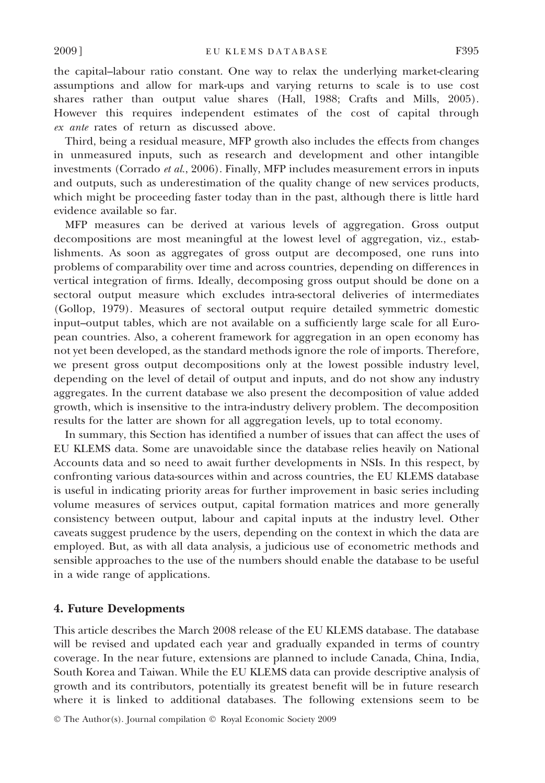the capital–labour ratio constant. One way to relax the underlying market-clearing assumptions and allow for mark-ups and varying returns to scale is to use cost shares rather than output value shares (Hall, 1988; Crafts and Mills, 2005). However this requires independent estimates of the cost of capital through ex ante rates of return as discussed above.

Third, being a residual measure, MFP growth also includes the effects from changes in unmeasured inputs, such as research and development and other intangible investments (Corrado et al., 2006). Finally, MFP includes measurement errors in inputs and outputs, such as underestimation of the quality change of new services products, which might be proceeding faster today than in the past, although there is little hard evidence available so far.

MFP measures can be derived at various levels of aggregation. Gross output decompositions are most meaningful at the lowest level of aggregation, viz., establishments. As soon as aggregates of gross output are decomposed, one runs into problems of comparability over time and across countries, depending on differences in vertical integration of firms. Ideally, decomposing gross output should be done on a sectoral output measure which excludes intra-sectoral deliveries of intermediates (Gollop, 1979). Measures of sectoral output require detailed symmetric domestic input–output tables, which are not available on a sufficiently large scale for all European countries. Also, a coherent framework for aggregation in an open economy has not yet been developed, as the standard methods ignore the role of imports. Therefore, we present gross output decompositions only at the lowest possible industry level, depending on the level of detail of output and inputs, and do not show any industry aggregates. In the current database we also present the decomposition of value added growth, which is insensitive to the intra-industry delivery problem. The decomposition results for the latter are shown for all aggregation levels, up to total economy.

In summary, this Section has identified a number of issues that can affect the uses of EU KLEMS data. Some are unavoidable since the database relies heavily on National Accounts data and so need to await further developments in NSIs. In this respect, by confronting various data-sources within and across countries, the EU KLEMS database is useful in indicating priority areas for further improvement in basic series including volume measures of services output, capital formation matrices and more generally consistency between output, labour and capital inputs at the industry level. Other caveats suggest prudence by the users, depending on the context in which the data are employed. But, as with all data analysis, a judicious use of econometric methods and sensible approaches to the use of the numbers should enable the database to be useful in a wide range of applications.

# 4. Future Developments

This article describes the March 2008 release of the EU KLEMS database. The database will be revised and updated each year and gradually expanded in terms of country coverage. In the near future, extensions are planned to include Canada, China, India, South Korea and Taiwan. While the EU KLEMS data can provide descriptive analysis of growth and its contributors, potentially its greatest benefit will be in future research where it is linked to additional databases. The following extensions seem to be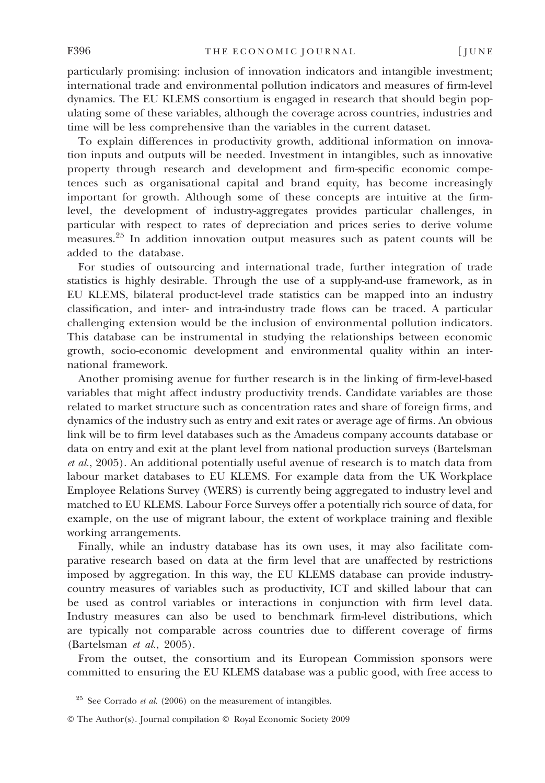particularly promising: inclusion of innovation indicators and intangible investment; international trade and environmental pollution indicators and measures of firm-level dynamics. The EU KLEMS consortium is engaged in research that should begin populating some of these variables, although the coverage across countries, industries and time will be less comprehensive than the variables in the current dataset.

To explain differences in productivity growth, additional information on innovation inputs and outputs will be needed. Investment in intangibles, such as innovative property through research and development and firm-specific economic competences such as organisational capital and brand equity, has become increasingly important for growth. Although some of these concepts are intuitive at the firmlevel, the development of industry-aggregates provides particular challenges, in particular with respect to rates of depreciation and prices series to derive volume measures.<sup>25</sup> In addition innovation output measures such as patent counts will be added to the database.

For studies of outsourcing and international trade, further integration of trade statistics is highly desirable. Through the use of a supply-and-use framework, as in EU KLEMS, bilateral product-level trade statistics can be mapped into an industry classification, and inter- and intra-industry trade flows can be traced. A particular challenging extension would be the inclusion of environmental pollution indicators. This database can be instrumental in studying the relationships between economic growth, socio-economic development and environmental quality within an international framework.

Another promising avenue for further research is in the linking of firm-level-based variables that might affect industry productivity trends. Candidate variables are those related to market structure such as concentration rates and share of foreign firms, and dynamics of the industry such as entry and exit rates or average age of firms. An obvious link will be to firm level databases such as the Amadeus company accounts database or data on entry and exit at the plant level from national production surveys (Bartelsman et al., 2005). An additional potentially useful avenue of research is to match data from labour market databases to EU KLEMS. For example data from the UK Workplace Employee Relations Survey (WERS) is currently being aggregated to industry level and matched to EU KLEMS. Labour Force Surveys offer a potentially rich source of data, for example, on the use of migrant labour, the extent of workplace training and flexible working arrangements.

Finally, while an industry database has its own uses, it may also facilitate comparative research based on data at the firm level that are unaffected by restrictions imposed by aggregation. In this way, the EU KLEMS database can provide industrycountry measures of variables such as productivity, ICT and skilled labour that can be used as control variables or interactions in conjunction with firm level data. Industry measures can also be used to benchmark firm-level distributions, which are typically not comparable across countries due to different coverage of firms (Bartelsman et al., 2005).

From the outset, the consortium and its European Commission sponsors were committed to ensuring the EU KLEMS database was a public good, with free access to

 $25$  See Corrado *et al.* (2006) on the measurement of intangibles.

 $\circ$  The Author(s). Journal compilation  $\circ$  Royal Economic Society 2009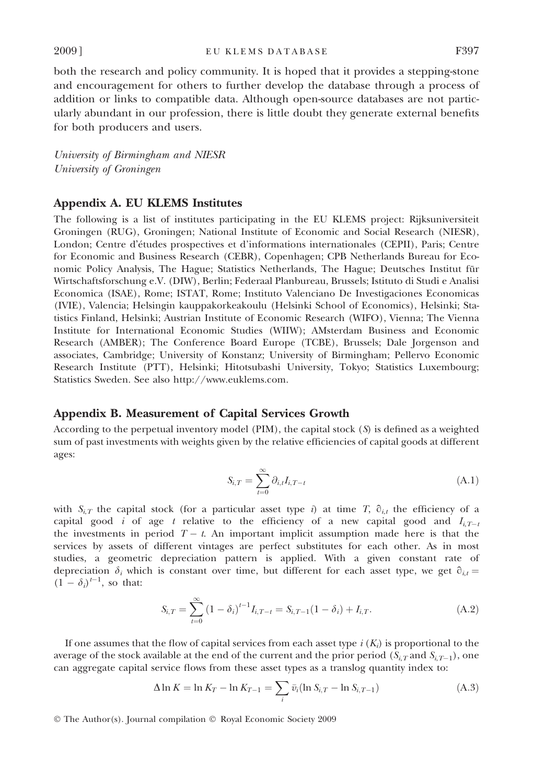both the research and policy community. It is hoped that it provides a stepping-stone and encouragement for others to further develop the database through a process of addition or links to compatible data. Although open-source databases are not particularly abundant in our profession, there is little doubt they generate external benefits for both producers and users.

University of Birmingham and NIESR University of Groningen

# Appendix A. EU KLEMS Institutes

The following is a list of institutes participating in the EU KLEMS project: Rijksuniversiteit Groningen (RUG), Groningen; National Institute of Economic and Social Research (NIESR), London; Centre d'études prospectives et d'informations internationales (CEPII), Paris; Centre for Economic and Business Research (CEBR), Copenhagen; CPB Netherlands Bureau for Economic Policy Analysis, The Hague; Statistics Netherlands, The Hague; Deutsches Institut für Wirtschaftsforschung e.V. (DIW), Berlin; Federaal Planbureau, Brussels; Istituto di Studi e Analisi Economica (ISAE), Rome; ISTAT, Rome; Instituto Valenciano De Investigaciones Economicas (IVIE), Valencia; Helsingin kauppakorkeakoulu (Helsinki School of Economics), Helsinki; Statistics Finland, Helsinki; Austrian Institute of Economic Research (WIFO), Vienna; The Vienna Institute for International Economic Studies (WIIW); AMsterdam Business and Economic Research (AMBER); The Conference Board Europe (TCBE), Brussels; Dale Jorgenson and associates, Cambridge; University of Konstanz; University of Birmingham; Pellervo Economic Research Institute (PTT), Helsinki; Hitotsubashi University, Tokyo; Statistics Luxembourg; Statistics Sweden. See also http://www.euklems.com.

# Appendix B. Measurement of Capital Services Growth

According to the perpetual inventory model  $(PIM)$ , the capital stock  $(S)$  is defined as a weighted sum of past investments with weights given by the relative efficiencies of capital goods at different ages:

$$
S_{i,T} = \sum_{t=0}^{\infty} \partial_{i,t} I_{i,T-t}
$$
\n(A.1)

with  $S_{i,T}$  the capital stock (for a particular asset type i) at time T,  $\partial_{i,t}$  the efficiency of a capital good  $i$  of age t relative to the efficiency of a new capital good and  $I_{i,T-t}$ the investments in period  $T - t$ . An important implicit assumption made here is that the services by assets of different vintages are perfect substitutes for each other. As in most studies, a geometric depreciation pattern is applied. With a given constant rate of depreciation  $\delta_i$  which is constant over time, but different for each asset type, we get  $\partial_{i,t}$  =  $(1 - \delta_i)^{t-1}$ , so that:

$$
S_{i,T} = \sum_{t=0}^{\infty} (1 - \delta_i)^{t-1} I_{i,T-t} = S_{i,T-1} (1 - \delta_i) + I_{i,T}.
$$
 (A.2)

If one assumes that the flow of capital services from each asset type  $i(K_i)$  is proportional to the average of the stock available at the end of the current and the prior period ( $S_{i,T}$  and  $S_{i,T-1}$ ), one can aggregate capital service flows from these asset types as a translog quantity index to:

$$
\Delta \ln K = \ln K_T - \ln K_{T-1} = \sum_{i} \bar{v}_i (\ln S_{i,T} - \ln S_{i,T-1})
$$
\n(A.3)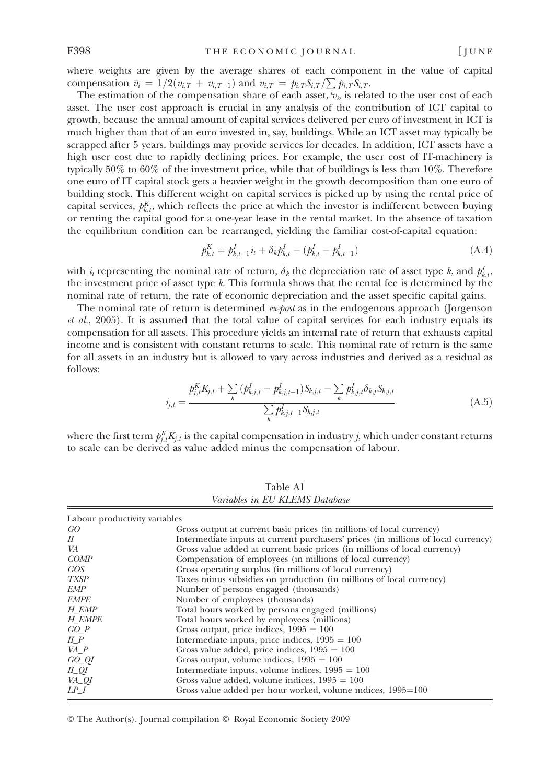where weights are given by the average shares of each component in the value of capital compensation  $\bar{v}_i = 1/2(v_{i,T} + v_{i,T-1})$  and  $v_{i,T} = p_{i,T} S_{i,T} / \sum p_{i,T} S_{i,T}$ .

The estimation of the compensation share of each asset,  $v_i$ , is related to the user cost of each asset. The user cost approach is crucial in any analysis of the contribution of ICT capital to growth, because the annual amount of capital services delivered per euro of investment in ICT is much higher than that of an euro invested in, say, buildings. While an ICT asset may typically be scrapped after 5 years, buildings may provide services for decades. In addition, ICT assets have a high user cost due to rapidly declining prices. For example, the user cost of IT-machinery is typically 50% to 60% of the investment price, while that of buildings is less than 10%. Therefore one euro of IT capital stock gets a heavier weight in the growth decomposition than one euro of building stock. This different weight on capital services is picked up by using the rental price of capital services,  $p_{k,t}^K$ , which reflects the price at which the investor is indifferent between buying or renting the capital good for a one-year lease in the rental market. In the absence of taxation the equilibrium condition can be rearranged, yielding the familiar cost-of-capital equation:

$$
p_{k,t}^K = p_{k,t-1}^I \dot{u}_t + \delta_k p_{k,t}^I - (p_{k,t}^I - p_{k,t-1}^I) \tag{A.4}
$$

with  $i_t$  representing the nominal rate of return,  $\delta_k$  the depreciation rate of asset type k, and  $p_{k,t}^I$ , the investment price of asset type k. This formula shows that the rental fee is determined by the nominal rate of return, the rate of economic depreciation and the asset specific capital gains.

The nominal rate of return is determined  $ex\text{-}post$  as in the endogenous approach (Jorgenson et al., 2005). It is assumed that the total value of capital services for each industry equals its compensation for all assets. This procedure yields an internal rate of return that exhausts capital income and is consistent with constant returns to scale. This nominal rate of return is the same for all assets in an industry but is allowed to vary across industries and derived as a residual as follows:

$$
i_{j,t} = \frac{p_{j,t}^K K_{j,t} + \sum_k (p_{k,j,t}^I - p_{k,j,t-1}^I) S_{k,j,t} - \sum_k p_{k,j,t}^I \delta_{k,j} S_{k,j,t}}{\sum_k p_{k,j,t-1}^I S_{k,j,t}}
$$
(A.5)

where the first term  $\mathit{p^{K}_{j,t}}K_{j,t}$  is the capital compensation in industry  $j$ , which under constant returns to scale can be derived as value added minus the compensation of labour.

Table A1 Variables in EU KLEMS Database

| Labour productivity variables |                                                                                   |
|-------------------------------|-----------------------------------------------------------------------------------|
| GO                            | Gross output at current basic prices (in millions of local currency)              |
| $\mathcal{I}\mathcal{I}$      | Intermediate inputs at current purchasers' prices (in millions of local currency) |
| VA                            | Gross value added at current basic prices (in millions of local currency)         |
| <i>COMP</i>                   | Compensation of employees (in millions of local currency)                         |
| GOS                           | Gross operating surplus (in millions of local currency)                           |
| TXSP                          | Taxes minus subsidies on production (in millions of local currency)               |
| EMP                           | Number of persons engaged (thousands)                                             |
| <b>EMPE</b>                   | Number of employees (thousands)                                                   |
| <b>H_EMP</b>                  | Total hours worked by persons engaged (millions)                                  |
| <b>H_EMPE</b>                 | Total hours worked by employees (millions)                                        |
| $GO_P$                        | Gross output, price indices, $1995 = 100$                                         |
| $II$ $P$                      | Intermediate inputs, price indices, $1995 = 100$                                  |
| $VA\_P$                       | Gross value added, price indices, $1995 = 100$                                    |
| $GO_QI$                       | Gross output, volume indices, $1995 = 100$                                        |
| $II\_QI$                      | Intermediate inputs, volume indices, $1995 = 100$                                 |
| VA_QI                         | Gross value added, volume indices, $1995 = 100$                                   |
| $LP_I$                        | Gross value added per hour worked, volume indices, 1995=100                       |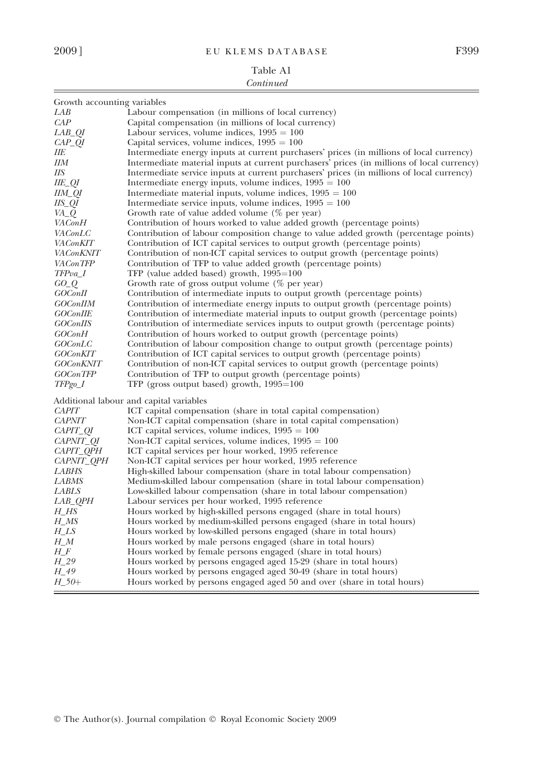$\overline{a}$ 

# Table A1 Continued

| Growth accounting variables |                                                                                            |
|-----------------------------|--------------------------------------------------------------------------------------------|
| LAB                         | Labour compensation (in millions of local currency)                                        |
| CAP                         | Capital compensation (in millions of local currency)                                       |
| $LAB\_QI$                   | Labour services, volume indices, $1995 = 100$                                              |
| $CAP\_OI$                   | Capital services, volume indices, $1995 = 100$                                             |
| ШE                          | Intermediate energy inputs at current purchasers' prices (in millions of local currency)   |
| ΠМ                          | Intermediate material inputs at current purchasers' prices (in millions of local currency) |
| НS                          | Intermediate service inputs at current purchasers' prices (in millions of local currency)  |
| IIE_QI                      | Intermediate energy inputs, volume indices, $1995 = 100$                                   |
| IIM_0I                      | Intermediate material inputs, volume indices, $1995 = 100$                                 |
| IIS_QI                      | Intermediate service inputs, volume indices, $1995 = 100$                                  |
| VA_Q                        | Growth rate of value added volume $(\%$ per year)                                          |
| <i>VAConH</i>               | Contribution of hours worked to value added growth (percentage points)                     |
| <i>VAConLC</i>              | Contribution of labour composition change to value added growth (percentage points)        |
| <b>VAConKIT</b>             | Contribution of ICT capital services to output growth (percentage points)                  |
| <b>VAConKNIT</b>            | Contribution of non-ICT capital services to output growth (percentage points)              |
| <i>VAConTFP</i>             | Contribution of TFP to value added growth (percentage points)                              |
| $TFPva_I$                   | TFP (value added based) growth, 1995=100                                                   |
| GO_Q                        | Growth rate of gross output volume $(\%$ per year)                                         |
| <i>GOConII</i>              | Contribution of intermediate inputs to output growth (percentage points)                   |
| <b>GOConIIM</b>             | Contribution of intermediate energy inputs to output growth (percentage points)            |
| <i>GOConIIE</i>             | Contribution of intermediate material inputs to output growth (percentage points)          |
| <b>GOConIIS</b>             | Contribution of intermediate services inputs to output growth (percentage points)          |
| <i>GOConH</i>               | Contribution of hours worked to output growth (percentage points)                          |
| GOConLC                     | Contribution of labour composition change to output growth (percentage points)             |
| GOConKIT                    | Contribution of ICT capital services to output growth (percentage points)                  |
| <b>GOConKNIT</b>            | Contribution of non-ICT capital services to output growth (percentage points)              |
| <b>GOConTFP</b>             | Contribution of TFP to output growth (percentage points)                                   |
| TFPgo_I                     | TFP (gross output based) growth, $1995=100$                                                |
|                             | Additional labour and capital variables                                                    |
| CAPIT                       | ICT capital compensation (share in total capital compensation)                             |
| <b>CAPNIT</b>               | Non-ICT capital compensation (share in total capital compensation)                         |
| CAPIT_QI                    | ICT capital services, volume indices, $1995 = 100$                                         |
| <i>CAPNIT_OI</i>            | Non-ICT capital services, volume indices, $1995 = 100$                                     |
| CAPIT_QPH                   | ICT capital services per hour worked, 1995 reference                                       |
| <i>CAPNIT_QPH</i>           | Non-ICT capital services per hour worked, 1995 reference                                   |
| <i>LABHS</i>                | High-skilled labour compensation (share in total labour compensation)                      |
| LABMS                       | Medium-skilled labour compensation (share in total labour compensation)                    |
| <i>LABLS</i>                | Low-skilled labour compensation (share in total labour compensation)                       |
| <i>LAB_QPH</i>              | Labour services per hour worked, 1995 reference                                            |
| H_HS                        | Hours worked by high-skilled persons engaged (share in total hours)                        |
| H_MS                        | Hours worked by medium-skilled persons engaged (share in total hours)                      |
| H_LS                        | Hours worked by low-skilled persons engaged (share in total hours)                         |
| H_M                         | Hours worked by male persons engaged (share in total hours)                                |
| $H\_F$                      | Hours worked by female persons engaged (share in total hours)                              |
| $H_2$ 29                    | Hours worked by persons engaged aged 15-29 (share in total hours)                          |
| H_49                        | Hours worked by persons engaged aged 30-49 (share in total hours)                          |
| H_50+                       | Hours worked by persons engaged aged 50 and over (share in total hours)                    |
|                             |                                                                                            |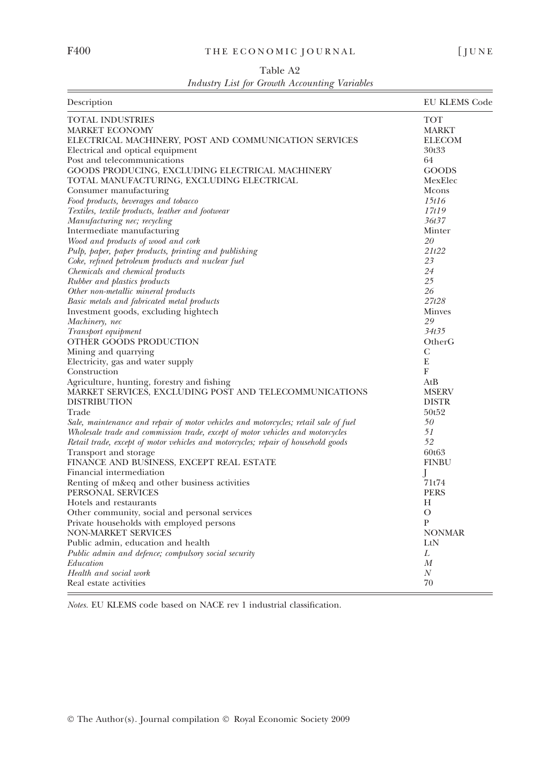# Table A2 Industry List for Growth Accounting Variables

| Description                                                                         | <b>EU KLEMS Code</b>  |
|-------------------------------------------------------------------------------------|-----------------------|
| TOTAL INDUSTRIES                                                                    | TOT                   |
| <b>MARKET ECONOMY</b>                                                               | <b>MARKT</b>          |
| ELECTRICAL MACHINERY, POST AND COMMUNICATION SERVICES                               | <b>ELECOM</b>         |
| Electrical and optical equipment                                                    | 30t33                 |
| Post and telecommunications                                                         | 64                    |
| GOODS PRODUCING, EXCLUDING ELECTRICAL MACHINERY                                     | <b>GOODS</b>          |
| TOTAL MANUFACTURING, EXCLUDING ELECTRICAL                                           | MexElec               |
| Consumer manufacturing                                                              | Mcons                 |
| Food products, beverages and tobacco                                                | 15t16                 |
| Textiles, textile products, leather and footwear                                    | 17t19                 |
| Manufacturing nec; recycling                                                        | 36t37                 |
| Intermediate manufacturing                                                          | Minter                |
| Wood and products of wood and cork                                                  | 20                    |
| Pulp, paper, paper products, printing and publishing                                | 21t22                 |
| Coke, refined petroleum products and nuclear fuel                                   | 23                    |
| Chemicals and chemical products                                                     | 24                    |
| Rubber and plastics products                                                        | 25                    |
| Other non-metallic mineral products                                                 | 26                    |
| Basic metals and fabricated metal products                                          | 27t28                 |
| Investment goods, excluding hightech                                                | Minyes                |
| Machinery, nec                                                                      | 29                    |
| Transport equipment                                                                 | 34t35                 |
| OTHER GOODS PRODUCTION                                                              | OtherG                |
| Mining and quarrying                                                                | C                     |
| Electricity, gas and water supply                                                   | E                     |
| Construction                                                                        | F                     |
| Agriculture, hunting, forestry and fishing                                          | AtB                   |
| MARKET SERVICES, EXCLUDING POST AND TELECOMMUNICATIONS                              | <b>MSERV</b>          |
| <b>DISTRIBUTION</b>                                                                 | <b>DISTR</b>          |
| Trade                                                                               | 50t52                 |
| Sale, maintenance and repair of motor vehicles and motorcycles; retail sale of fuel | 50                    |
| Wholesale trade and commission trade, except of motor vehicles and motorcycles      | 51<br>52              |
| Retail trade, except of motor vehicles and motorcycles; repair of household goods   |                       |
| Transport and storage<br>FINANCE AND BUSINESS, EXCEPT REAL ESTATE                   | 60t63<br><b>FINBU</b> |
| Financial intermediation                                                            |                       |
|                                                                                     | I<br>71t74            |
| Renting of m&eq and other business activities<br>PERSONAL SERVICES                  | <b>PERS</b>           |
| Hotels and restaurants                                                              | H                     |
| Other community, social and personal services                                       | O                     |
| Private households with employed persons                                            | P                     |
| <b>NON-MARKET SERVICES</b>                                                          | <b>NONMAR</b>         |
| Public admin, education and health                                                  | LtN                   |
| Public admin and defence; compulsory social security                                | L                     |
| Education                                                                           | М                     |
| Health and social work                                                              | N                     |
| Real estate activities                                                              | 70                    |
|                                                                                     |                       |

Notes. EU KLEMS code based on NACE rev 1 industrial classification.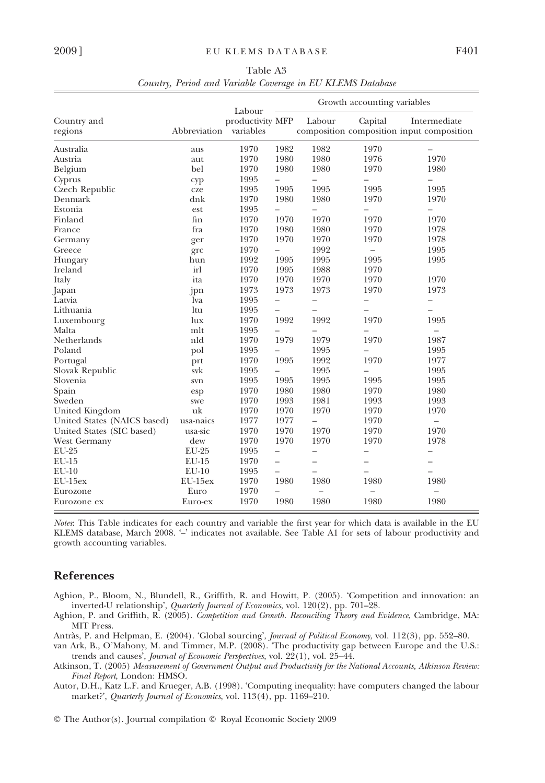|                             |              |                                         |                          | Growth accounting variables |                          |                                                           |  |  |
|-----------------------------|--------------|-----------------------------------------|--------------------------|-----------------------------|--------------------------|-----------------------------------------------------------|--|--|
| Country and<br>regions      | Abbreviation | Labour<br>productivity MFP<br>variables |                          | Labour                      | Capital                  | Intermediate<br>composition composition input composition |  |  |
| Australia                   | aus          | 1970                                    | 1982                     | 1982                        | 1970                     |                                                           |  |  |
| Austria                     | aut          | 1970                                    | 1980                     | 1980                        | 1976                     | 1970                                                      |  |  |
| Belgium                     | bel          | 1970                                    | 1980                     | 1980                        | 1970                     | 1980                                                      |  |  |
| Cyprus                      | cyp          | 1995                                    | $\overline{\phantom{0}}$ | $\overline{\phantom{0}}$    | $\overline{\phantom{0}}$ | $\overline{\phantom{0}}$                                  |  |  |
| Czech Republic              | cze          | 1995                                    | 1995                     | 1995                        | 1995                     | 1995                                                      |  |  |
| Denmark                     | dnk          | 1970                                    | 1980                     | 1980                        | 1970                     | 1970                                                      |  |  |
| Estonia                     | est          | 1995                                    | $\overline{\phantom{0}}$ | $\overline{\phantom{0}}$    | $\overline{\phantom{0}}$ | $\qquad \qquad -$                                         |  |  |
| Finland                     | fin          | 1970                                    | 1970                     | 1970                        | 1970                     | 1970                                                      |  |  |
| France                      | fra          | 1970                                    | 1980                     | 1980                        | 1970                     | 1978                                                      |  |  |
| Germany                     | ger          | 1970                                    | 1970                     | 1970                        | 1970                     | 1978                                                      |  |  |
| Greece                      | grc          | 1970                                    | $\overline{\phantom{0}}$ | 1992                        | $\overline{\phantom{0}}$ | 1995                                                      |  |  |
| Hungary                     | hun          | 1992                                    | 1995                     | 1995                        | 1995                     | 1995                                                      |  |  |
| Ireland                     | irl          | 1970                                    | 1995                     | 1988                        | 1970                     |                                                           |  |  |
| Italy                       | ita          | 1970                                    | 1970                     | 1970                        | 1970                     | 1970                                                      |  |  |
| Japan                       | jpn          | 1973                                    | 1973                     | 1973                        | 1970                     | 1973                                                      |  |  |
| Latvia                      | lva          | 1995                                    | $\overline{\phantom{0}}$ | $\overline{\phantom{0}}$    | $\overline{a}$           | $\overline{\phantom{0}}$                                  |  |  |
| Lithuania                   | ltu          | 1995                                    | $\overline{\phantom{0}}$ | $\overline{a}$              | $\overline{\phantom{0}}$ | $\overline{\phantom{0}}$                                  |  |  |
| Luxembourg                  | lux          | 1970                                    | 1992                     | 1992                        | 1970                     | 1995                                                      |  |  |
| Malta                       | mlt          | 1995                                    | $\overline{\phantom{0}}$ | $\overline{a}$              |                          | $\overline{\phantom{0}}$                                  |  |  |
| Netherlands                 | nld          | 1970                                    | 1979                     | 1979                        | 1970                     | 1987                                                      |  |  |
| Poland                      | pol          | 1995                                    | $\overline{\phantom{0}}$ | 1995                        | $\overline{\phantom{0}}$ | 1995                                                      |  |  |
| Portugal                    | prt          | 1970                                    | 1995                     | 1992                        | 1970                     | 1977                                                      |  |  |
| Slovak Republic             | svk          | 1995                                    | $\overline{a}$           | 1995                        | $\overline{\phantom{0}}$ | 1995                                                      |  |  |
| Slovenia                    | svn          | 1995                                    | 1995                     | 1995                        | 1995                     | 1995                                                      |  |  |
| Spain                       | esp          | 1970                                    | 1980                     | 1980                        | 1970                     | 1980                                                      |  |  |
| Sweden                      | swe          | 1970                                    | 1993                     | 1981                        | 1993                     | 1993                                                      |  |  |
| United Kingdom              | uk           | 1970                                    | 1970                     | 1970                        | 1970                     | 1970                                                      |  |  |
| United States (NAICS based) | usa-naics    | 1977                                    | 1977                     | $\overline{a}$              | 1970                     |                                                           |  |  |
| United States (SIC based)   | usa-sic      | 1970                                    | 1970                     | 1970                        | 1970                     | 1970                                                      |  |  |
| West Germany                | dew          | 1970                                    | 1970                     | 1970                        | 1970                     | 1978                                                      |  |  |
| $EU-25$                     | <b>EU-25</b> | 1995                                    | $\overline{a}$           | $\overline{\phantom{0}}$    | ÷,                       | $\qquad \qquad -$                                         |  |  |
| $EU-15$                     | $EU-15$      | 1970                                    | $\overline{\phantom{0}}$ | $\overline{\phantom{0}}$    | -                        | $\overline{\phantom{0}}$                                  |  |  |
| $EU-10$                     | $EU-10$      | 1995                                    |                          | $\equiv$                    | $\overline{\phantom{a}}$ | $\overline{\phantom{0}}$                                  |  |  |
| EU-15ex                     | EU-15ex      | 1970                                    | 1980                     | 1980                        | 1980                     | 1980                                                      |  |  |
| Eurozone                    | Euro         | 1970                                    |                          |                             |                          |                                                           |  |  |
| Eurozone ex                 | Euro-ex      | 1970                                    | 1980                     | 1980                        | 1980                     | 1980                                                      |  |  |

Table A3 Country, Period and Variable Coverage in EU KLEMS Database

Notes: This Table indicates for each country and variable the first year for which data is available in the EU KLEMS database, March 2008. '-' indicates not available. See Table A1 for sets of labour productivity and growth accounting variables.

# References

Aghion, P., Bloom, N., Blundell, R., Griffith, R. and Howitt, P. (2005). 'Competition and innovation: an inverted-U relationship', Quarterly Journal of Economics, vol. 120(2), pp. 701-28.

Aghion, P. and Griffith, R. (2005). Competition and Growth. Reconciling Theory and Evidence, Cambridge, MA: MIT Press.

Antràs, P. and Helpman, E. (2004). 'Global sourcing', *Journal of Political Economy*, vol. 112(3), pp. 552–80.

van Ark, B., O'Mahony, M. and Timmer, M.P. (2008). !The productivity gap between Europe and the U.S.: trends and causes', Journal of Economic Perspectives, vol. 22(1), vol. 25-44.

Atkinson, T. (2005) Measurement of Government Output and Productivity for the National Accounts, Atkinson Review: Final Report, London: HMSO.

Autor, D.H., Katz L.F. and Krueger, A.B. (1998). !Computing inequality: have computers changed the labour market?', Quarterly Journal of Economics, vol. 113(4), pp. 1169-210.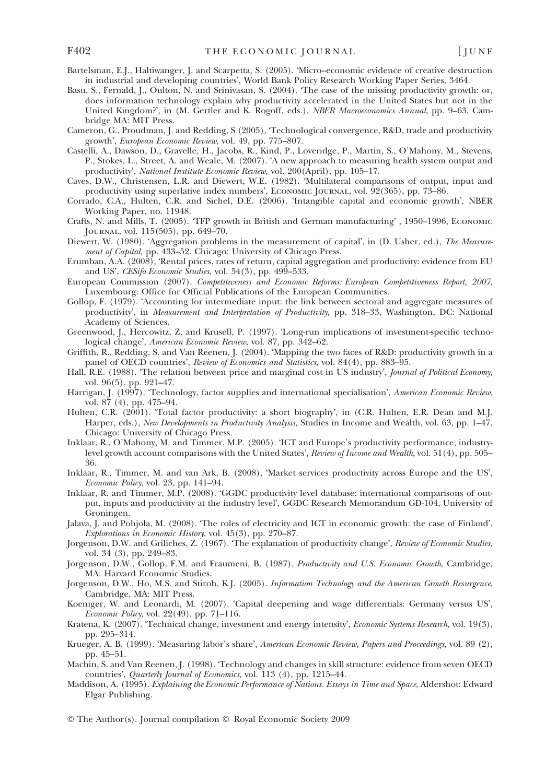- Bartelsman, E.J., Haltiwanger, J. and Scarpetta, S. (2005). !Micro–economic evidence of creative destruction in industrial and developing countries", World Bank Policy Research Working Paper Series, 3464.
- Basu, S., Fernald, J., Oulton, N. and Srinivasan, S. (2004). !The case of the missing productivity growth: or, does information technology explain why productivity accelerated in the United States but not in the United Kingdom?', in (M. Gertler and K. Rogoff, eds.), NBER Macroeconomics Annual, pp. 9–63, Cambridge MA: MIT Press.
- Cameron, G., Proudman, J. and Redding, S (2005), !Technological convergence, R&D, trade and productivity growth", European Economic Review, vol. 49, pp. 775–807.
- Castelli, A., Dawson, D., Gravelle, H., Jacobs, R., Kind, P., Loveridge, P., Martin, S., O'Mahony, M., Stevens, P., Stokes, L., Street, A. and Weale, M. (2007). !A new approach to measuring health system output and productivity', National Institute Economic Review, vol. 200(April), pp. 105-17.
- Caves, D.W., Christensen, L.R. and Diewert, W.E. (1982). !Multilateral comparisons of output, input and productivity using superlative index numbers', ECONOMIC JOURNAL, vol.  $92(365)$ , pp. 73–86.
- Corrado, C.A., Hulten, C.R. and Sichel, D.E. (2006). !Intangible capital and economic growth", NBER Working Paper, no. 11948.
- Crafts, N. and Mills, T. (2005). !TFP growth in British and German manufacturing" , 1950–1996, Economic Journal, vol. 115(505), pp. 649–70.
- Diewert, W. (1980). 'Aggregation problems in the measurement of capital', in (D. Usher, ed.), The Measurement of Capital, pp. 433–52, Chicago: University of Chicago Press.
- Erumban, A.A. (2008), !Rental prices, rates of return, capital aggregation and productivity: evidence from EU and US", CESifo Economic Studies, vol. 54(3), pp. 499–533.
- European Commission (2007). Competitiveness and Economic Reforms: European Competitiveness Report, 2007, Luxembourg: Office for Official Publications of the European Communities.
- Gollop, F. (1979). 'Accounting for intermediate input: the link between sectoral and aggregate measures of productivity', in Measurement and Interpretation of Productivity, pp. 318-33, Washington, DC: National Academy of Sciences.
- Greenwood, J., Hercowitz, Z, and Krusell, P. (1997). !Long-run implications of investment-specific technological change', American Economic Review, vol. 87, pp. 342-62.
- Griffith, R., Redding, S. and Van Reenen, J. (2004). 'Mapping the two faces of R&D: productivity growth in a panel of OECD countries', Review of Economics and Statistics, vol. 84(4), pp. 883–95.
- Hall, R.E. (1988). 'The relation between price and marginal cost in US industry', *Journal of Political Economy*, vol. 96(5), pp. 921–47.
- Harrigan, J. (1997). 'Technology, factor supplies and international specialisation', American Economic Review, vol. 87 (4), pp. 475–94.
- Hulten, C.R. (2001). 'Total factor productivity: a short biography', in (C.R. Hulten, E.R. Dean and M.J. Harper, eds.), New Developments in Productivity Analysis, Studies in Income and Wealth, vol. 63, pp. 1–47, Chicago: University of Chicago Press.
- Inklaar, R., O'Mahony, M. and Timmer, M.P. (2005). !ICT and Europe's productivity performance; industrylevel growth account comparisons with the United States', Review of Income and Wealth, vol. 51(4), pp. 505– 36.
- Inklaar, R., Timmer, M. and van Ark, B. (2008), 'Market services productivity across Europe and the US', Economic Policy, vol. 23, pp. 141–94.
- Inklaar, R. and Timmer, M.P. (2008). 'GGDC productivity level database: international comparisons of output, inputs and productivity at the industry level", GGDC Research Memorandum GD-104, University of Groningen.
- Jalava, J. and Pohjola, M. (2008). 'The roles of electricity and ICT in economic growth: the case of Finland', Explorations in Economic History, vol. 45(3), pp. 270–87.
- Jorgenson, D.W. and Griliches, Z. (1967). 'The explanation of productivity change', Review of Economic Studies, vol. 34 (3), pp. 249–83.
- Jorgenson, D.W., Gollop, F.M. and Fraumeni, B. (1987). Productivity and U.S. Economic Growth, Cambridge, MA: Harvard Economic Studies.
- Jorgenson, D.W., Ho, M.S. and Stiroh, K.J. (2005). Information Technology and the American Growth Resurgence, Cambridge, MA: MIT Press.
- Koeniger, W. and Leonardi, M. (2007). 'Capital deepening and wage differentials: Germany versus US', Economic Policy, vol. 22(49), pp. 71–116.
- Kratena, K. (2007). 'Technical change, investment and energy intensity', Economic Systems Research, vol. 19(3), pp. 295–314.
- Krueger, A. B. (1999). 'Measuring labor's share', American Economic Review, Papers and Proceedings, vol. 89 (2), pp. 45–51.
- Machin, S. and Van Reenen, J. (1998). 'Technology and changes in skill structure: evidence from seven OECD countries', *Quarterly Journal of Economics*, vol. 113 (4), pp. 1215–44.
- Maddison, A. (1995). Explaining the Economic Performance of Nations. Essays in Time and Space, Aldershot: Edward Elgar Publishing.